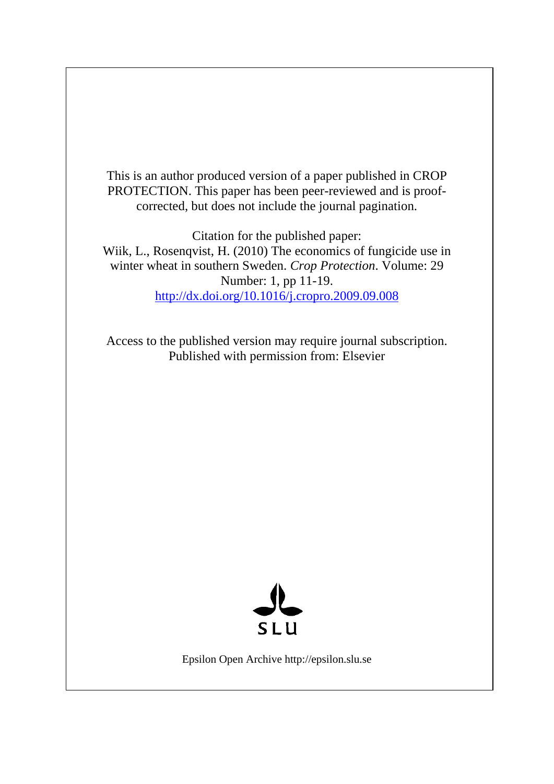This is an author produced version of a paper published in CROP PROTECTION. This paper has been peer-reviewed and is proofcorrected, but does not include the journal pagination.

Citation for the published paper: Wiik, L., Rosenqvist, H. (2010) The economics of fungicide use in winter wheat in southern Sweden. *Crop Protection*. Volume: 29 Number: 1, pp 11-19. http://dx.doi.org/10.1016/j.cropro.2009.09.008

Access to the published version may require journal subscription. Published with permission from: Elsevier



Epsilon Open Archive http://epsilon.slu.se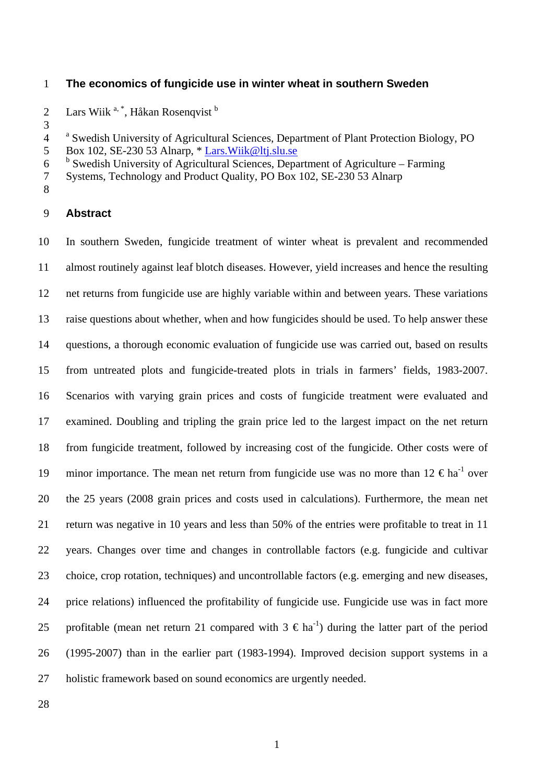## 1 **The economics of fungicide use in winter wheat in southern Sweden**

2 Lars Wiik<sup>a, \*</sup>, Håkan Rosenqvist<sup>b</sup>

4 <sup>a</sup> Swedish University of Agricultural Sciences, Department of Plant Protection Biology, PO

6 <sup>b</sup> Swedish University of Agricultural Sciences, Department of Agriculture – Farming

7 Systems, Technology and Product Quality, PO Box 102, SE-230 53 Alnarp

8

3

#### 9 **Abstract**

10 11 12 13 14 15 16 17 18 19 20 21 22 23 24 25 26 27 In southern Sweden, fungicide treatment of winter wheat is prevalent and recommended almost routinely against leaf blotch diseases. However, yield increases and hence the resulting net returns from fungicide use are highly variable within and between years. These variations raise questions about whether, when and how fungicides should be used. To help answer these questions, a thorough economic evaluation of fungicide use was carried out, based on results from untreated plots and fungicide-treated plots in trials in farmers' fields, 1983-2007. Scenarios with varying grain prices and costs of fungicide treatment were evaluated and examined. Doubling and tripling the grain price led to the largest impact on the net return from fungicide treatment, followed by increasing cost of the fungicide. Other costs were of minor importance. The mean net return from fungicide use was no more than  $12 \text{ } \in \text{ha}^{\text{-1}}$  over the 25 years (2008 grain prices and costs used in calculations). Furthermore, the mean net return was negative in 10 years and less than 50% of the entries were profitable to treat in 11 years. Changes over time and changes in controllable factors (e.g. fungicide and cultivar choice, crop rotation, techniques) and uncontrollable factors (e.g. emerging and new diseases, price relations) influenced the profitability of fungicide use. Fungicide use was in fact more profitable (mean net return 21 compared with  $3 \text{ } \in \text{ha}^{-1}$ ) during the latter part of the period (1995-2007) than in the earlier part (1983-1994). Improved decision support systems in a holistic framework based on sound economics are urgently needed.

<sup>5</sup> Box 102, SE-230 53 Alnarp, \* [Lars.Wiik@ltj.slu.se](mailto:Lars.Wiik@ltj.slu.se)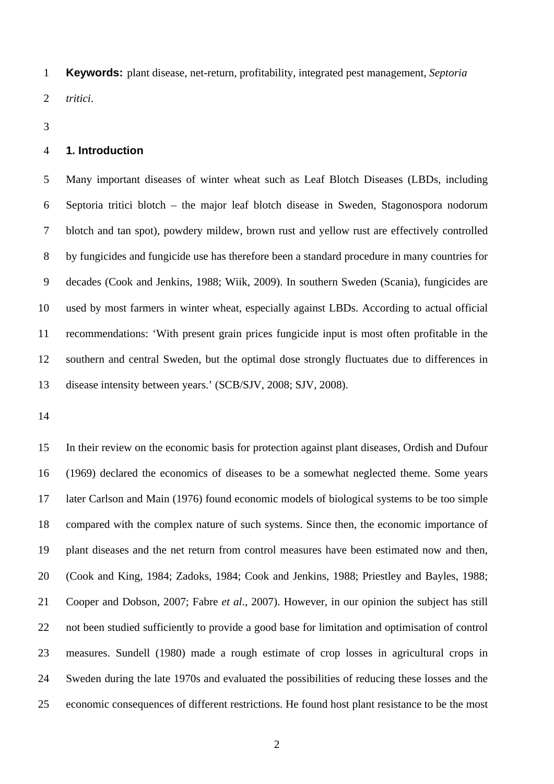**Keywords:** plant disease, net-return, profitability, integrated pest management, *Septoria tritici*. 1 2

3

#### 4 **1. Introduction**

5 6 7 8 9 10 11 12 13 Many important diseases of winter wheat such as Leaf Blotch Diseases (LBDs, including Septoria tritici blotch – the major leaf blotch disease in Sweden, Stagonospora nodorum blotch and tan spot), powdery mildew, brown rust and yellow rust are effectively controlled by fungicides and fungicide use has therefore been a standard procedure in many countries for decades (Cook and Jenkins, 1988; Wiik, 2009). In southern Sweden (Scania), fungicides are used by most farmers in winter wheat, especially against LBDs. According to actual official recommendations: 'With present grain prices fungicide input is most often profitable in the southern and central Sweden, but the optimal dose strongly fluctuates due to differences in disease intensity between years.' (SCB/SJV, 2008; SJV, 2008).

14

15 16 17 18 19 20 21 22 23 24 25 In their review on the economic basis for protection against plant diseases, Ordish and Dufour (1969) declared the economics of diseases to be a somewhat neglected theme. Some years later Carlson and Main (1976) found economic models of biological systems to be too simple compared with the complex nature of such systems. Since then, the economic importance of plant diseases and the net return from control measures have been estimated now and then, (Cook and King, 1984; Zadoks, 1984; Cook and Jenkins, 1988; Priestley and Bayles, 1988; Cooper and Dobson, 2007; Fabre *et al*., 2007). However, in our opinion the subject has still not been studied sufficiently to provide a good base for limitation and optimisation of control measures. Sundell (1980) made a rough estimate of crop losses in agricultural crops in Sweden during the late 1970s and evaluated the possibilities of reducing these losses and the economic consequences of different restrictions. He found host plant resistance to be the most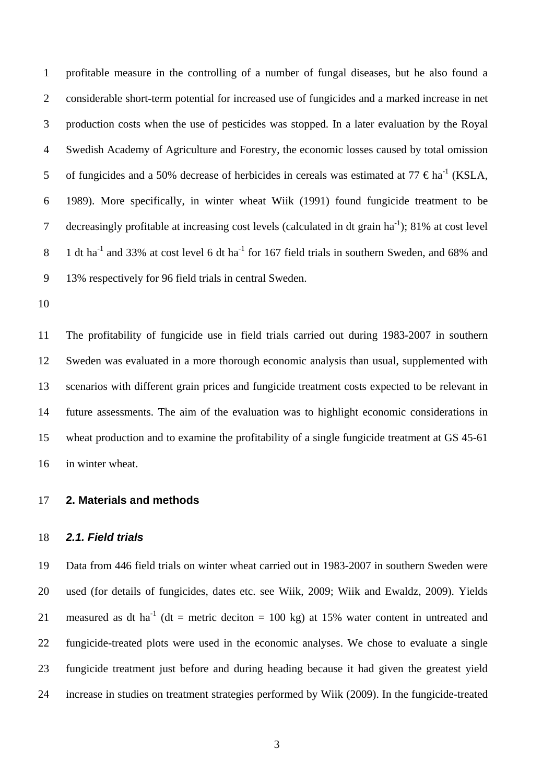1 2 3 4 5 6 7 8 9 profitable measure in the controlling of a number of fungal diseases, but he also found a considerable short-term potential for increased use of fungicides and a marked increase in net production costs when the use of pesticides was stopped. In a later evaluation by the Royal Swedish Academy of Agriculture and Forestry, the economic losses caused by total omission of fungicides and a 50% decrease of herbicides in cereals was estimated at 77  $\epsilon$ ha<sup>-1</sup> (KSLA, 1989). More specifically, in winter wheat Wiik (1991) found fungicide treatment to be decreasingly profitable at increasing cost levels (calculated in dt grain  $ha^{-1}$ ); 81% at cost level 1 dt ha<sup>-1</sup> and 33% at cost level 6 dt ha<sup>-1</sup> for 167 field trials in southern Sweden, and 68% and 13% respectively for 96 field trials in central Sweden.

10

11 12 13 14 15 16 The profitability of fungicide use in field trials carried out during 1983-2007 in southern Sweden was evaluated in a more thorough economic analysis than usual, supplemented with scenarios with different grain prices and fungicide treatment costs expected to be relevant in future assessments. The aim of the evaluation was to highlight economic considerations in wheat production and to examine the profitability of a single fungicide treatment at GS 45-61 in winter wheat.

#### 17 **2. Materials and methods**

#### 18 *2.1. Field trials*

19 20 21 22 23 24 Data from 446 field trials on winter wheat carried out in 1983-2007 in southern Sweden were used (for details of fungicides, dates etc. see Wiik, 2009; Wiik and Ewaldz, 2009). Yields measured as dt ha<sup>-1</sup> (dt = metric deciton = 100 kg) at 15% water content in untreated and fungicide-treated plots were used in the economic analyses. We chose to evaluate a single fungicide treatment just before and during heading because it had given the greatest yield increase in studies on treatment strategies performed by Wiik (2009). In the fungicide-treated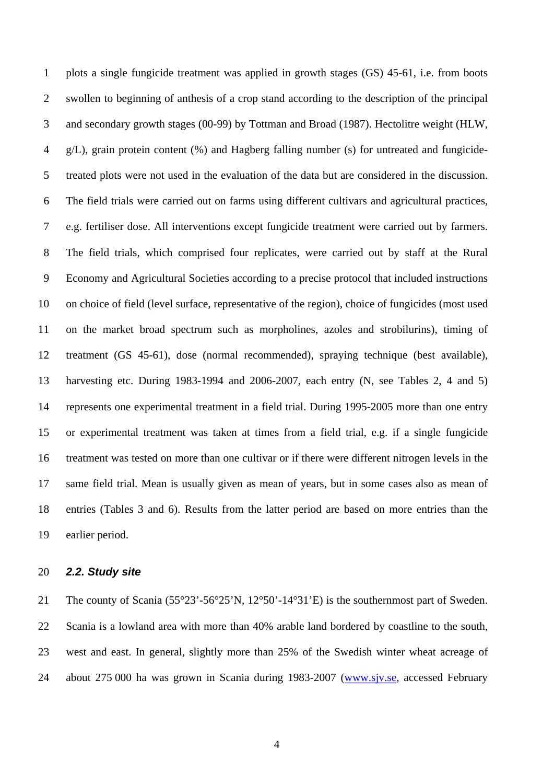1 2 3 4 5 6 7 8 9 10 11 12 13 14 15 16 17 18 19 plots a single fungicide treatment was applied in growth stages (GS) 45-61, i.e. from boots swollen to beginning of anthesis of a crop stand according to the description of the principal and secondary growth stages (00-99) by Tottman and Broad (1987). Hectolitre weight (HLW, g/L), grain protein content (%) and Hagberg falling number (s) for untreated and fungicidetreated plots were not used in the evaluation of the data but are considered in the discussion. The field trials were carried out on farms using different cultivars and agricultural practices, e.g. fertiliser dose. All interventions except fungicide treatment were carried out by farmers. The field trials, which comprised four replicates, were carried out by staff at the Rural Economy and Agricultural Societies according to a precise protocol that included instructions on choice of field (level surface, representative of the region), choice of fungicides (most used on the market broad spectrum such as morpholines, azoles and strobilurins), timing of treatment (GS 45-61), dose (normal recommended), spraying technique (best available), harvesting etc. During 1983-1994 and 2006-2007, each entry (N, see Tables 2, 4 and 5) represents one experimental treatment in a field trial. During 1995-2005 more than one entry or experimental treatment was taken at times from a field trial, e.g. if a single fungicide treatment was tested on more than one cultivar or if there were different nitrogen levels in the same field trial. Mean is usually given as mean of years, but in some cases also as mean of entries (Tables 3 and 6). Results from the latter period are based on more entries than the earlier period.

#### 20 *2.2. Study site*

21 22 23 The county of Scania (55°23'-56°25'N, 12°50'-14°31'E) is the southernmost part of Sweden. Scania is a lowland area with more than 40% arable land bordered by coastline to the south, west and east. In general, slightly more than 25% of the Swedish winter wheat acreage of 24 about 275 000 ha was grown in Scania during 1983-2007 [\(www.sjv.se](http://www.sjv.se/), accessed February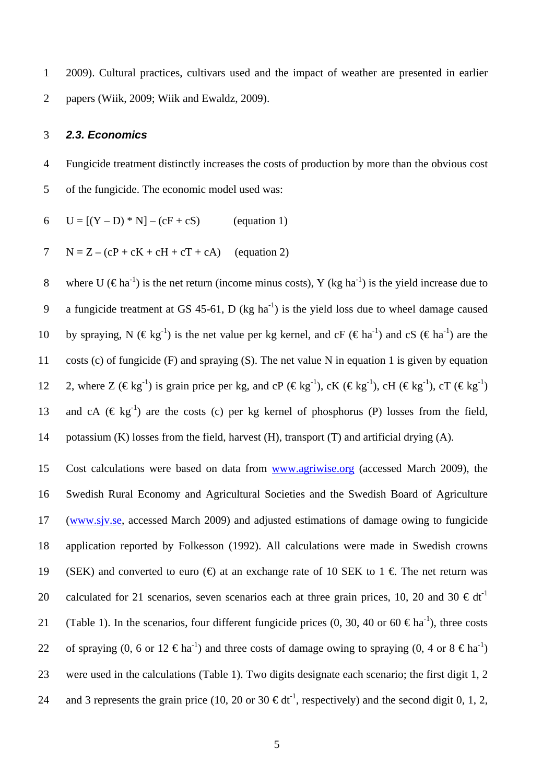1 2 2009). Cultural practices, cultivars used and the impact of weather are presented in earlier papers (Wiik, 2009; Wiik and Ewaldz, 2009).

#### 3 *2.3. Economics*

4 5 Fungicide treatment distinctly increases the costs of production by more than the obvious cost of the fungicide. The economic model used was:

6  $U = [(Y – D) * N] – (cF + cS)$  (equation 1)

$$
7 \tN = Z - (cP + cK + cH + cT + cA) \t(equation 2)
$$

8 9 10 11 12 13 14 where U ( $\epsilon$ ha<sup>-1</sup>) is the net return (income minus costs), Y (kg ha<sup>-1</sup>) is the yield increase due to a fungicide treatment at GS 45-61, D (kg ha<sup>-1</sup>) is the yield loss due to wheel damage caused by spraying, N ( $\epsilon$ kg<sup>-1</sup>) is the net value per kg kernel, and cF ( $\epsilon$ ha<sup>-1</sup>) and cS ( $\epsilon$ ha<sup>-1</sup>) are the costs (c) of fungicide (F) and spraying (S). The net value N in equation 1 is given by equation 2, where  $Z (\epsilon \epsilon \epsilon^{1})$  is grain price per kg, and cP ( $\epsilon \epsilon \epsilon^{1}$ ), cK ( $\epsilon \epsilon \epsilon^{1}$ ), cH ( $\epsilon \epsilon \epsilon^{1}$ ), cT ( $\epsilon \epsilon \epsilon^{1}$ ) and cA ( $\in$  kg<sup>-1</sup>) are the costs (c) per kg kernel of phosphorus (P) losses from the field, potassium (K) losses from the field, harvest (H), transport (T) and artificial drying (A).

Cost calculations were based on data from [www.agriwise.org](http://www.agriwise.org/) (accessed March 2009), the Swedish Rural Economy and Agricultural Societies and the Swedish Board of Agriculture ( [www.sjv.se,](http://www.sjv.se/) accessed March 2009) and adjusted estimations of damage owing to fungicide 15 16 application reported by Folkesson (1992). All calculations were made in Swedish crowns (SEK) and converted to euro ( $\oplus$  at an exchange rate of 10 SEK to 1  $\in$  The net return was calculated for 21 scenarios, seven scenarios each at three grain prices, 10, 20 and 30  $\text{€dt}^{-1}$ (Table 1). In the scenarios, four different fungicide prices (0, 30, 40 or 60  $\in$  ha<sup>-1</sup>), three costs of spraying (0, 6 or 12  $\epsilon$ ha<sup>-1</sup>) and three costs of damage owing to spraying (0, 4 or 8  $\epsilon$ ha<sup>-1</sup>) were used in the calculations (Table 1). Two digits designate each scenario; the first digit 1, 2 and 3 represents the grain price (10, 20 or 30  $\epsilon dt^{-1}$ , respectively) and the second digit 0, 1, 2, 17 18 19 20 21 22 23 24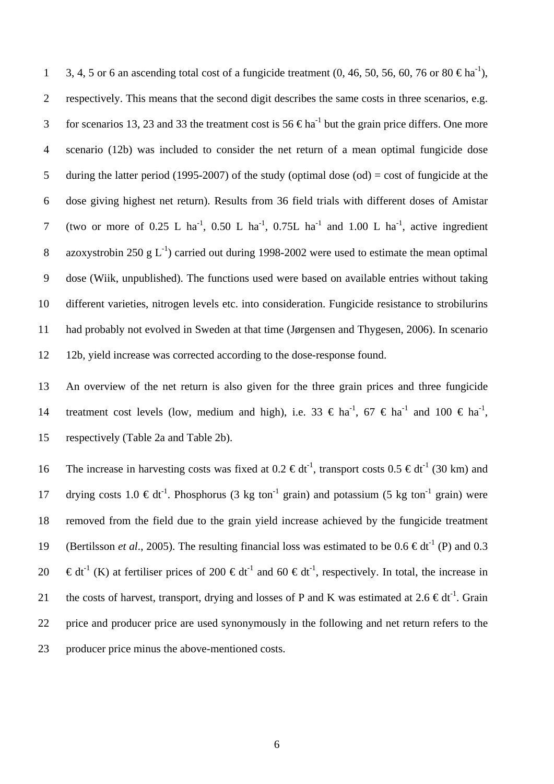3, 4, 5 or 6 an ascending total cost of a fungicide treatment (0, 46, 50, 56, 60, 76 or 80  $\epsilon$ ha<sup>-1</sup>), respectively. This means that the second digit describes the same costs in three scenarios, e.g. for scenarios 13, 23 and 33 the treatment cost is 56  $\epsilon$ ha<sup>-1</sup> but the grain price differs. One more scenario (12b) was included to consider the net return of a mean optimal fungicide dose during the latter period (1995-2007) of the study (optimal dose  $(\text{od}) = \text{cost}$  of fungicide at the dose giving highest net return). Results from 36 field trials with different doses of Amistar (two or more of 0.25 L ha<sup>-1</sup>, 0.50 L ha<sup>-1</sup>, 0.75L ha<sup>-1</sup> and 1.00 L ha<sup>-1</sup>, active ingredient azoxystrobin 250 g  $L^{-1}$ ) carried out during 1998-2002 were used to estimate the mean optimal dose (Wiik, unpublished). The functions used were based on available entries without taking different varieties, nitrogen levels etc. into consideration. Fungicide resistance to strobilurins had probably not evolved in Sweden at that time (Jørgensen and Thygesen, 2006). In scenario 12b, yield increase was corrected according to the dose-response found. 1 2 3 4 5 6 7 8 9 10 11 12

13 14 15 An overview of the net return is also given for the three grain prices and three fungicide treatment cost levels (low, medium and high), i.e. 33  $\in$  ha<sup>-1</sup>, 67  $\in$  ha<sup>-1</sup> and 100  $\in$  ha<sup>-1</sup>, respectively (Table 2a and Table 2b).

16 17 18 19 20 21 22 23 The increase in harvesting costs was fixed at  $0.2 \text{ } \infty$  dt<sup>-1</sup>, transport costs  $0.5 \text{ } \infty$ dt<sup>-1</sup> (30 km) and drying costs 1.0  $\in dt^{-1}$ . Phosphorus (3 kg ton<sup>-1</sup> grain) and potassium (5 kg ton<sup>-1</sup> grain) were removed from the field due to the grain yield increase achieved by the fungicide treatment (Bertilsson *et al.*, 2005). The resulting financial loss was estimated to be  $0.6 \text{ } \in dt^{-1}$  (P) and 0.3  $\epsilon dt^{-1}$  (K) at fertiliser prices of 200  $\epsilon dt^{-1}$  and 60  $\epsilon dt^{-1}$ , respectively. In total, the increase in the costs of harvest, transport, drying and losses of P and K was estimated at 2.6  $\in dt^{-1}$ . Grain price and producer price are used synonymously in the following and net return refers to the producer price minus the above-mentioned costs.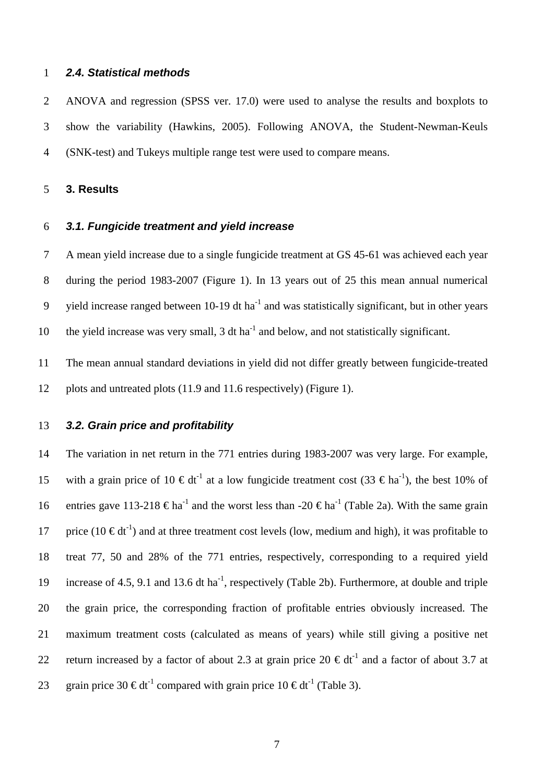#### 1 *2.4. Statistical methods*

2 3 4 ANOVA and regression (SPSS ver. 17.0) were used to analyse the results and boxplots to show the variability (Hawkins, 2005). Following ANOVA, the Student-Newman-Keuls (SNK-test) and Tukeys multiple range test were used to compare means.

#### 5 **3. Results**

#### 6 *3.1. Fungicide treatment and yield increase*

7 8 9 10 A mean yield increase due to a single fungicide treatment at GS 45-61 was achieved each year during the period 1983-2007 (Figure 1). In 13 years out of 25 this mean annual numerical yield increase ranged between  $10-19$  dt ha<sup>-1</sup> and was statistically significant, but in other years the yield increase was very small,  $3 \text{ dt}$  ha<sup>-1</sup> and below, and not statistically significant.

11 12 The mean annual standard deviations in yield did not differ greatly between fungicide-treated plots and untreated plots (11.9 and 11.6 respectively) (Figure 1).

#### 13 *3.2. Grain price and profitability*

14 15 16 17 18 19 20 21 22 23 The variation in net return in the 771 entries during 1983-2007 was very large. For example, with a grain price of 10  $\epsilon dt^{-1}$  at a low fungicide treatment cost (33  $\epsilon$ ha<sup>-1</sup>), the best 10% of entries gave 113-218  $\epsilon$ ha<sup>-1</sup> and the worst less than -20  $\epsilon$ ha<sup>-1</sup> (Table 2a). With the same grain price (10  $\in dt^{-1}$ ) and at three treatment cost levels (low, medium and high), it was profitable to treat 77, 50 and 28% of the 771 entries, respectively, corresponding to a required yield increase of 4.5, 9.1 and 13.6 dt ha<sup>-1</sup>, respectively (Table 2b). Furthermore, at double and triple the grain price, the corresponding fraction of profitable entries obviously increased. The maximum treatment costs (calculated as means of years) while still giving a positive net return increased by a factor of about 2.3 at grain price  $20 \text{ } \infty$  dt<sup>-1</sup> and a factor of about 3.7 at grain price 30  $\in dt^{-1}$  compared with grain price 10  $\in dt^{-1}$  (Table 3).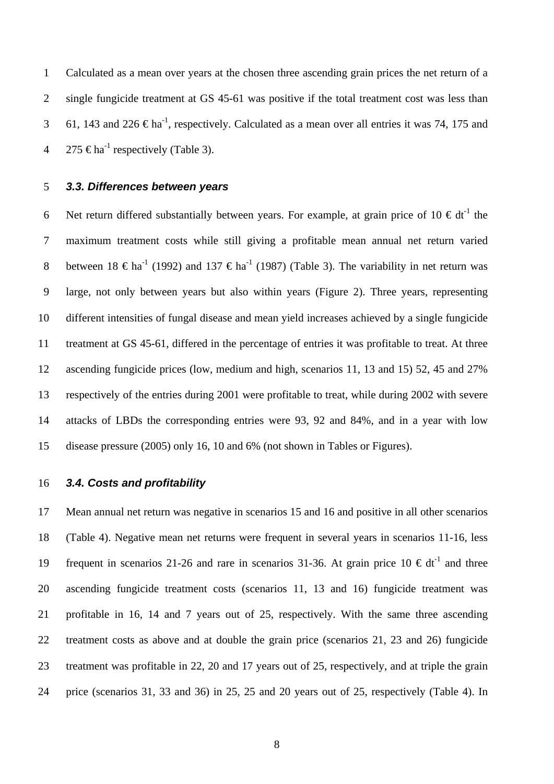1 2 3 4 Calculated as a mean over years at the chosen three ascending grain prices the net return of a single fungicide treatment at GS 45-61 was positive if the total treatment cost was less than 61, 143 and 226  $\epsilon$ ha<sup>-1</sup>, respectively. Calculated as a mean over all entries it was 74, 175 and 275 € $\text{ha}^{-1}$  respectively (Table 3).

5 *3.3. Differences between years* 

6 7 8 9 10 11 12 13 14 15 Net return differed substantially between years. For example, at grain price of  $10 \text{ } \infty$  dt<sup>-1</sup> the maximum treatment costs while still giving a profitable mean annual net return varied between  $18 \text{ } \in \text{ha}^{-1}$  (1992) and  $137 \text{ } \in \text{ha}^{-1}$  (1987) (Table 3). The variability in net return was large, not only between years but also within years (Figure 2). Three years, representing different intensities of fungal disease and mean yield increases achieved by a single fungicide treatment at GS 45-61, differed in the percentage of entries it was profitable to treat. At three ascending fungicide prices (low, medium and high, scenarios 11, 13 and 15) 52, 45 and 27% respectively of the entries during 2001 were profitable to treat, while during 2002 with severe attacks of LBDs the corresponding entries were 93, 92 and 84%, and in a year with low disease pressure (2005) only 16, 10 and 6% (not shown in Tables or Figures).

#### 16 *3.4. Costs and profitability*

17 18 19 20 21 22 23 24 Mean annual net return was negative in scenarios 15 and 16 and positive in all other scenarios (Table 4). Negative mean net returns were frequent in several years in scenarios 11-16, less frequent in scenarios 21-26 and rare in scenarios 31-36. At grain price  $10 \text{ } \in \text{dt}^{\text{-1}}$  and three ascending fungicide treatment costs (scenarios 11, 13 and 16) fungicide treatment was profitable in 16, 14 and 7 years out of 25, respectively. With the same three ascending treatment costs as above and at double the grain price (scenarios 21, 23 and 26) fungicide treatment was profitable in 22, 20 and 17 years out of 25, respectively, and at triple the grain price (scenarios 31, 33 and 36) in 25, 25 and 20 years out of 25, respectively (Table 4). In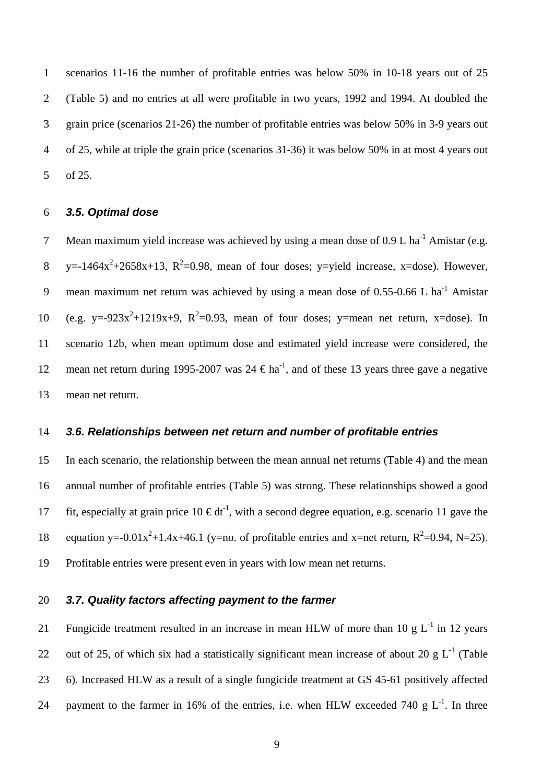1 2 3 4 5 scenarios 11-16 the number of profitable entries was below 50% in 10-18 years out of 25 (Table 5) and no entries at all were profitable in two years, 1992 and 1994. At doubled the grain price (scenarios 21-26) the number of profitable entries was below 50% in 3-9 years out of 25, while at triple the grain price (scenarios 31-36) it was below 50% in at most 4 years out of 25.

#### 6 *3.5. Optimal dose*

7 8 9 10 11 12 13 Mean maximum yield increase was achieved by using a mean dose of  $0.9$  L ha<sup>-1</sup> Amistar (e.g. y=-1464 $x^2$ +2658x+13, R<sup>2</sup>=0.98, mean of four doses; y=yield increase, x=dose). However, mean maximum net return was achieved by using a mean dose of  $0.55$ -0.66 L ha<sup>-1</sup> Amistar (e.g. y=-923 $x^2+1219x+9$ ,  $R^2=0.93$ , mean of four doses; y=mean net return, x=dose). In scenario 12b, when mean optimum dose and estimated yield increase were considered, the mean net return during 1995-2007 was  $24 \text{ } \in \text{ha}^{\text{-1}}$ , and of these 13 years three gave a negative mean net return.

#### 14 *3.6. Relationships between net return and number of profitable entries*

15 16 17 18 19 In each scenario, the relationship between the mean annual net returns (Table 4) and the mean annual number of profitable entries (Table 5) was strong. These relationships showed a good fit, especially at grain price  $10 \in dt^{-1}$ , with a second degree equation, e.g. scenario 11 gave the equation y=-0.01 $x^2+1.4x+46.1$  (y=no. of profitable entries and x=net return,  $R^2=0.94$ , N=25). Profitable entries were present even in years with low mean net returns.

#### 20 *3.7. Quality factors affecting payment to the farmer*

21 22 23 24 Fungicide treatment resulted in an increase in mean HLW of more than 10 g  $L^{-1}$  in 12 years out of 25, of which six had a statistically significant mean increase of about 20 g  $L^{-1}$  (Table 6). Increased HLW as a result of a single fungicide treatment at GS 45-61 positively affected payment to the farmer in 16% of the entries, i.e. when HLW exceeded 740 g  $L^{-1}$ . In three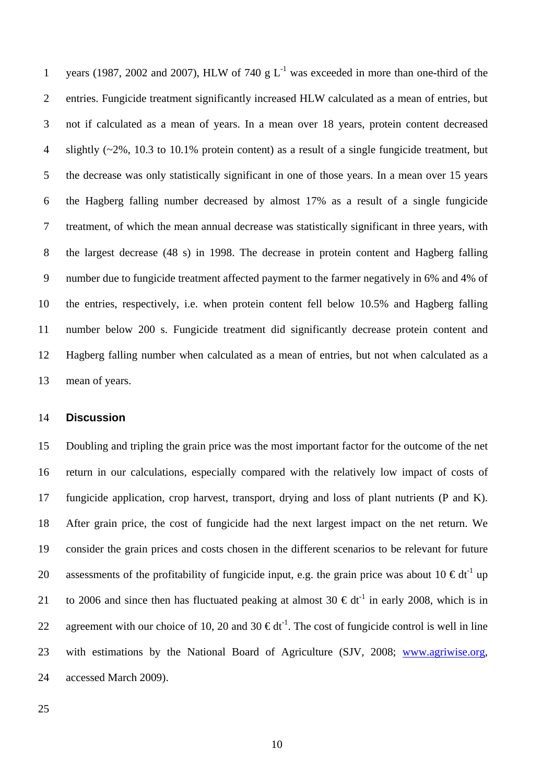years (1987, 2002 and 2007), HLW of 740 g  $L^{-1}$  was exceeded in more than one-third of the entries. Fungicide treatment significantly increased HLW calculated as a mean of entries, but not if calculated as a mean of years. In a mean over 18 years, protein content decreased slightly  $(-2\%$ , 10.3 to 10.1% protein content) as a result of a single fungicide treatment, but the decrease was only statistically significant in one of those years. In a mean over 15 years the Hagberg falling number decreased by almost 17% as a result of a single fungicide treatment, of which the mean annual decrease was statistically significant in three years, with the largest decrease (48 s) in 1998. The decrease in protein content and Hagberg falling number due to fungicide treatment affected payment to the farmer negatively in 6% and 4% of the entries, respectively, i.e. when protein content fell below 10.5% and Hagberg falling number below 200 s. Fungicide treatment did significantly decrease protein content and Hagberg falling number when calculated as a mean of entries, but not when calculated as a mean of years. 1 2 3 4 5 6 7 8 9 10 11 12 13

#### 14 **Discussion**

15 16 17 18 19 20 21 22 Doubling and tripling the grain price was the most important factor for the outcome of the net return in our calculations, especially compared with the relatively low impact of costs of fungicide application, crop harvest, transport, drying and loss of plant nutrients (P and K). After grain price, the cost of fungicide had the next largest impact on the net return. We consider the grain prices and costs chosen in the different scenarios to be relevant for future assessments of the profitability of fungicide input, e.g. the grain price was about 10  $\in dt^{-1}$  up to 2006 and since then has fluctuated peaking at almost 30  $\epsilon dt^{-1}$  in early 2008, which is in agreement with our choice of 10, 20 and 30  $\epsilon dt^{-1}$ . The cost of fungicide control is well in line with estimations by the National Board of Agriculture (SJV, 2008; [www.agriwise.org](http://www.agriwise.org/), accessed March 2009). 23 24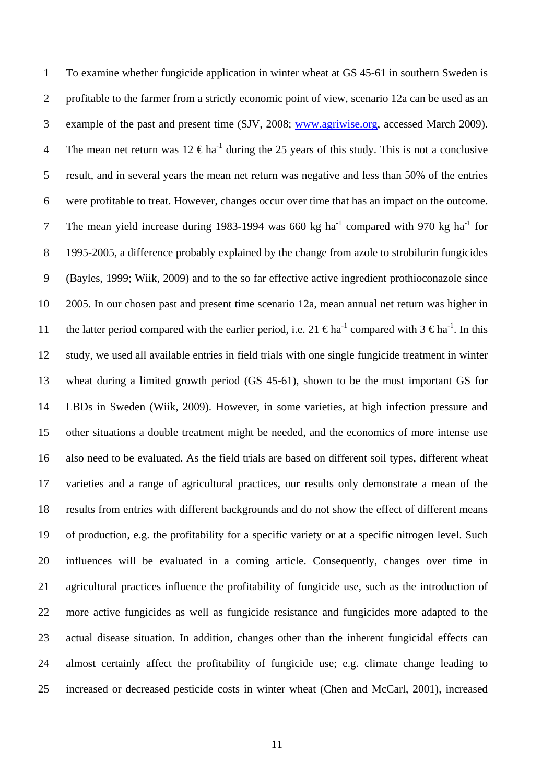To examine whether fungicide application in winter wheat at GS 45-61 in southern Sweden is profitable to the farmer from a strictly economic point of view, scenario 12a can be used as an example of the past and present time (SJV, 2008; [www.agriwise.org,](http://www.agriwise.org/) accessed March 2009). 1 2 The mean net return was  $12 \text{ } \in \text{ha}^{-1}$  during the 25 years of this study. This is not a conclusive result, and in several years the mean net return was negative and less than 50% of the entries were profitable to treat. However, changes occur over time that has an impact on the outcome. The mean yield increase during 1983-1994 was 660 kg ha<sup>-1</sup> compared with 970 kg ha<sup>-1</sup> for 1995-2005, a difference probably explained by the change from azole to strobilurin fungicides (Bayles, 1999; Wiik, 2009) and to the so far effective active ingredient prothioconazole since 2005. In our chosen past and present time scenario 12a, mean annual net return was higher in the latter period compared with the earlier period, i.e. 21  $\epsilon$ ha<sup>-1</sup> compared with 3  $\epsilon$ ha<sup>-1</sup>. In this study, we used all available entries in field trials with one single fungicide treatment in winter wheat during a limited growth period (GS 45-61), shown to be the most important GS for LBDs in Sweden (Wiik, 2009). However, in some varieties, at high infection pressure and other situations a double treatment might be needed, and the economics of more intense use also need to be evaluated. As the field trials are based on different soil types, different wheat varieties and a range of agricultural practices, our results only demonstrate a mean of the results from entries with different backgrounds and do not show the effect of different means of production, e.g. the profitability for a specific variety or at a specific nitrogen level. Such influences will be evaluated in a coming article. Consequently, changes over time in agricultural practices influence the profitability of fungicide use, such as the introduction of more active fungicides as well as fungicide resistance and fungicides more adapted to the actual disease situation. In addition, changes other than the inherent fungicidal effects can almost certainly affect the profitability of fungicide use; e.g. climate change leading to increased or decreased pesticide costs in winter wheat (Chen and McCarl, 2001), increased 3 4 5 6 7 8 9 10 11 12 13 14 15 16 17 18 19 20 21 22 23 24 25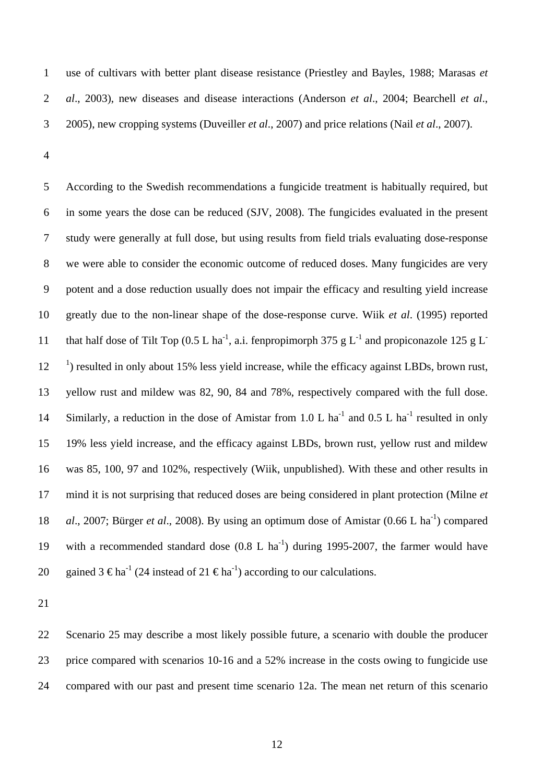use of cultivars with better plant disease resistance (Priestley and Bayles, 1988; Marasas *et al*., 2003), new diseases and disease interactions (Anderson *et al*., 2004; Bearchell *et al*., 2005), new cropping systems (Duveiller *et al*., 2007) and price relations (Nail *et al*., 2007). 1 2 3

4

5 6 7 8 9 10 11 12 13 14 15 16 17 18 19 20 According to the Swedish recommendations a fungicide treatment is habitually required, but in some years the dose can be reduced (SJV, 2008). The fungicides evaluated in the present study were generally at full dose, but using results from field trials evaluating dose-response we were able to consider the economic outcome of reduced doses. Many fungicides are very potent and a dose reduction usually does not impair the efficacy and resulting yield increase greatly due to the non-linear shape of the dose-response curve. Wiik *et al*. (1995) reported that half dose of Tilt Top (0.5 L ha<sup>-1</sup>, a.i. fenpropimorph 375 g L<sup>-1</sup> and propiconazole 125 g L<sup>-</sup> <sup>1</sup>) resulted in only about 15% less yield increase, while the efficacy against LBDs, brown rust, yellow rust and mildew was 82, 90, 84 and 78%, respectively compared with the full dose. Similarly, a reduction in the dose of Amistar from 1.0 L ha<sup>-1</sup> and 0.5 L ha<sup>-1</sup> resulted in only 19% less yield increase, and the efficacy against LBDs, brown rust, yellow rust and mildew was 85, 100, 97 and 102%, respectively (Wiik, unpublished). With these and other results in mind it is not surprising that reduced doses are being considered in plant protection (Milne *et al.*, 2007; Bürger *et al.*, 2008). By using an optimum dose of Amistar (0.66 L ha<sup>-1</sup>) compared with a recommended standard dose  $(0.8 \text{ L} \text{ ha}^{-1})$  during 1995-2007, the farmer would have gained 3  $\epsilon$ ha<sup>-1</sup> (24 instead of 21  $\epsilon$ ha<sup>-1</sup>) according to our calculations.

21

22 23 24 Scenario 25 may describe a most likely possible future, a scenario with double the producer price compared with scenarios 10-16 and a 52% increase in the costs owing to fungicide use compared with our past and present time scenario 12a. The mean net return of this scenario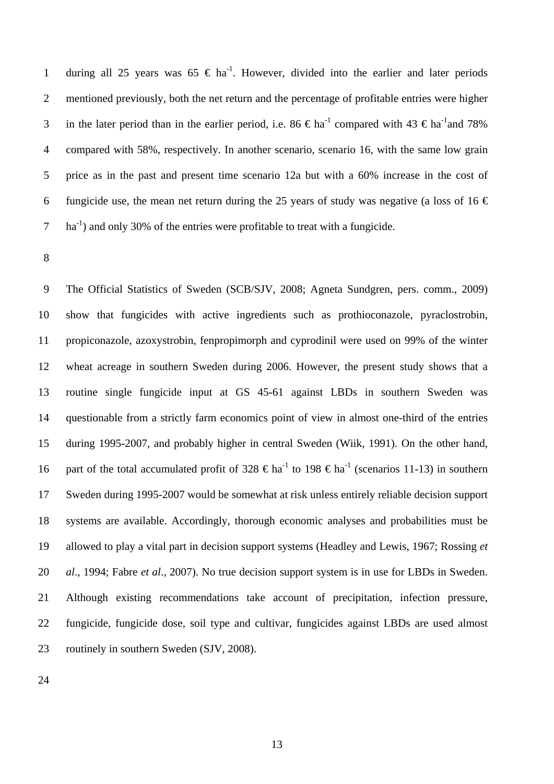during all 25 years was  $65 \text{ } \in \text{ha}^{-1}$ . However, divided into the earlier and later periods mentioned previously, both the net return and the percentage of profitable entries were higher in the later period than in the earlier period, i.e. 86  $\in$  ha<sup>-1</sup> compared with 43  $\in$  ha<sup>-1</sup>and 78% compared with 58%, respectively. In another scenario, scenario 16, with the same low grain price as in the past and present time scenario 12a but with a 60% increase in the cost of fungicide use, the mean net return during the 25 years of study was negative (a loss of 16  $\epsilon$ ) ha<sup>-1</sup>) and only 30% of the entries were profitable to treat with a fungicide. 1 2 3 4 5 6 7

8

9 10 11 12 13 14 15 16 17 18 19 20 21 22 23 The Official Statistics of Sweden (SCB/SJV, 2008; Agneta Sundgren, pers. comm., 2009) show that fungicides with active ingredients such as prothioconazole, pyraclostrobin, propiconazole, azoxystrobin, fenpropimorph and cyprodinil were used on 99% of the winter wheat acreage in southern Sweden during 2006. However, the present study shows that a routine single fungicide input at GS 45-61 against LBDs in southern Sweden was questionable from a strictly farm economics point of view in almost one-third of the entries during 1995-2007, and probably higher in central Sweden (Wiik, 1991). On the other hand, part of the total accumulated profit of 328  $\epsilon$ ha<sup>-1</sup> to 198  $\epsilon$ ha<sup>-1</sup> (scenarios 11-13) in southern Sweden during 1995-2007 would be somewhat at risk unless entirely reliable decision support systems are available. Accordingly, thorough economic analyses and probabilities must be allowed to play a vital part in decision support systems (Headley and Lewis, 1967; Rossing *et al*., 1994; Fabre *et al*., 2007). No true decision support system is in use for LBDs in Sweden. Although existing recommendations take account of precipitation, infection pressure, fungicide, fungicide dose, soil type and cultivar, fungicides against LBDs are used almost routinely in southern Sweden (SJV, 2008).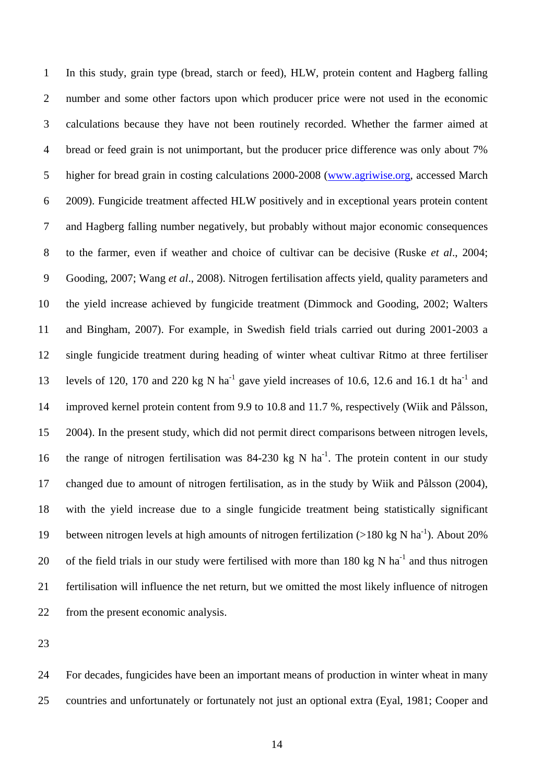In this study, grain type (bread, starch or feed), HLW, protein content and Hagberg falling number and some other factors upon which producer price were not used in the economic calculations because they have not been routinely recorded. Whether the farmer aimed at bread or feed grain is not unimportant, but the producer price difference was only about 7% higher for bread grain in costing calculations 2000-2008 ([www.agriwise.org](http://www.agriwise.org/), accessed March 1 2 3 4 2009). Fungicide treatment affected HLW positively and in exceptional years protein content and Hagberg falling number negatively, but probably without major economic consequences to the farmer, even if weather and choice of cultivar can be decisive (Ruske *et al*., 2004; Gooding, 2007; Wang *et al*., 2008). Nitrogen fertilisation affects yield, quality parameters and the yield increase achieved by fungicide treatment (Dimmock and Gooding, 2002; Walters and Bingham, 2007). For example, in Swedish field trials carried out during 2001-2003 a single fungicide treatment during heading of winter wheat cultivar Ritmo at three fertiliser levels of 120, 170 and 220 kg N ha<sup>-1</sup> gave yield increases of 10.6, 12.6 and 16.1 dt ha<sup>-1</sup> and improved kernel protein content from 9.9 to 10.8 and 11.7 %, respectively (Wiik and Pålsson, 2004). In the present study, which did not permit direct comparisons between nitrogen levels, the range of nitrogen fertilisation was 84-230 kg N ha<sup>-1</sup>. The protein content in our study changed due to amount of nitrogen fertilisation, as in the study by Wiik and Pålsson (2004), with the yield increase due to a single fungicide treatment being statistically significant between nitrogen levels at high amounts of nitrogen fertilization ( $>180$  kg N ha<sup>-1</sup>). About 20% of the field trials in our study were fertilised with more than 180 kg N ha<sup>-1</sup> and thus nitrogen fertilisation will influence the net return, but we omitted the most likely influence of nitrogen from the present economic analysis. 5 6 7 8 9 10 11 12 13 14 15 16 17 18 19 20 21 22

23

24 25 For decades, fungicides have been an important means of production in winter wheat in many countries and unfortunately or fortunately not just an optional extra (Eyal, 1981; Cooper and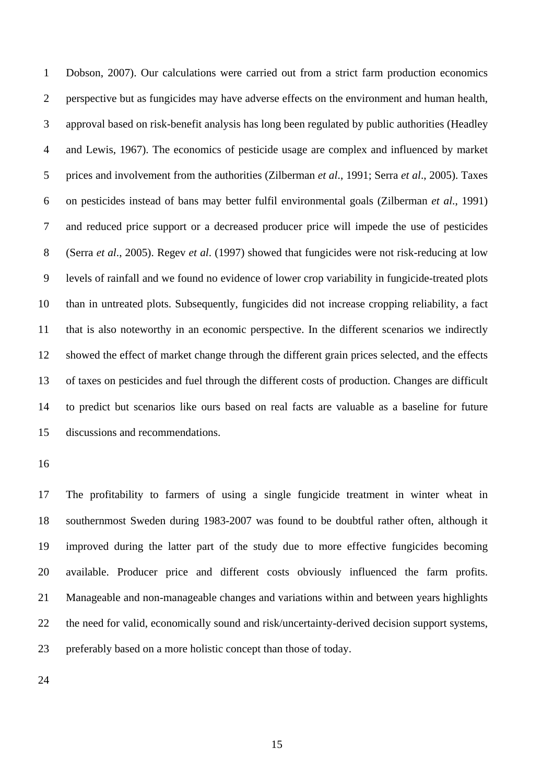1 2 3 4 5 6 7 8 9 10 11 12 13 14 15 Dobson, 2007). Our calculations were carried out from a strict farm production economics perspective but as fungicides may have adverse effects on the environment and human health, approval based on risk-benefit analysis has long been regulated by public authorities (Headley and Lewis, 1967). The economics of pesticide usage are complex and influenced by market prices and involvement from the authorities (Zilberman *et al*., 1991; Serra *et al*., 2005). Taxes on pesticides instead of bans may better fulfil environmental goals (Zilberman *et al*., 1991) and reduced price support or a decreased producer price will impede the use of pesticides (Serra *et al*., 2005). Regev *et al*. (1997) showed that fungicides were not risk-reducing at low levels of rainfall and we found no evidence of lower crop variability in fungicide-treated plots than in untreated plots. Subsequently, fungicides did not increase cropping reliability, a fact that is also noteworthy in an economic perspective. In the different scenarios we indirectly showed the effect of market change through the different grain prices selected, and the effects of taxes on pesticides and fuel through the different costs of production. Changes are difficult to predict but scenarios like ours based on real facts are valuable as a baseline for future discussions and recommendations.

16

17 18 19 20 21 22 23 The profitability to farmers of using a single fungicide treatment in winter wheat in southernmost Sweden during 1983-2007 was found to be doubtful rather often, although it improved during the latter part of the study due to more effective fungicides becoming available. Producer price and different costs obviously influenced the farm profits. Manageable and non-manageable changes and variations within and between years highlights the need for valid, economically sound and risk/uncertainty-derived decision support systems, preferably based on a more holistic concept than those of today.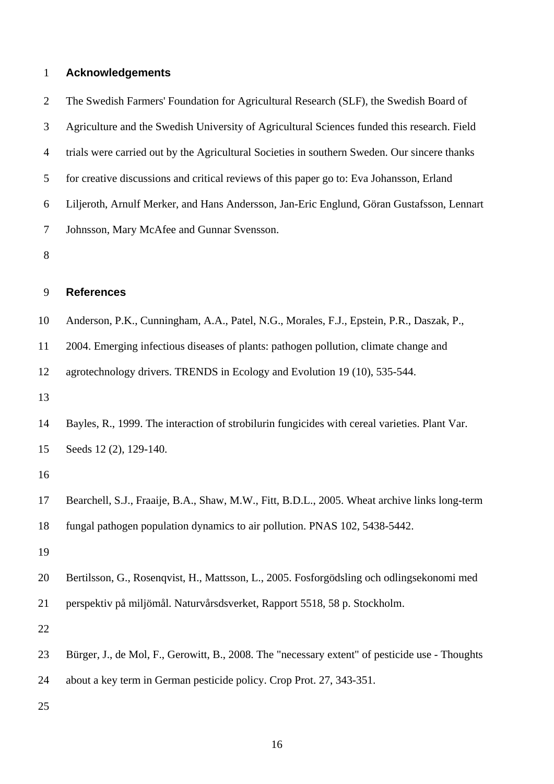## 1 **Acknowledgements**

2 3 4 5 6 7 The Swedish Farmers' Foundation for Agricultural Research (SLF), the Swedish Board of Agriculture and the Swedish University of Agricultural Sciences funded this research. Field trials were carried out by the Agricultural Societies in southern Sweden. Our sincere thanks for creative discussions and critical reviews of this paper go to: Eva Johansson, Erland Liljeroth, Arnulf Merker, and Hans Andersson, Jan-Eric Englund, Göran Gustafsson, Lennart Johnsson, Mary McAfee and Gunnar Svensson.

8

#### 9 **References**

|  | 10 Anderson, P.K., Cunningham, A.A., Patel, N.G., Morales, F.J., Epstein, P.R., Daszak, P., |  |
|--|---------------------------------------------------------------------------------------------|--|
|  |                                                                                             |  |

11 2004. Emerging infectious diseases of plants: pathogen pollution, climate change and

12 agrotechnology drivers. TRENDS in Ecology and Evolution 19 (10), 535-544.

13

14 15 Bayles, R., 1999. The interaction of strobilurin fungicides with cereal varieties. Plant Var. Seeds 12 (2), 129-140.

16

17 18 Bearchell, S.J., Fraaije, B.A., Shaw, M.W., Fitt, B.D.L., 2005. Wheat archive links long-term fungal pathogen population dynamics to air pollution. PNAS 102, 5438-5442.

19

20 Bertilsson, G., Rosenqvist, H., Mattsson, L., 2005. Fosforgödsling och odlingsekonomi med

21 perspektiv på miljömål. Naturvårsdsverket, Rapport 5518, 58 p. Stockholm.

22

23 Bürger, J., de Mol, F., Gerowitt, B., 2008. The "necessary extent" of pesticide use - Thoughts

24 about a key term in German pesticide policy. Crop Prot. 27, 343-351.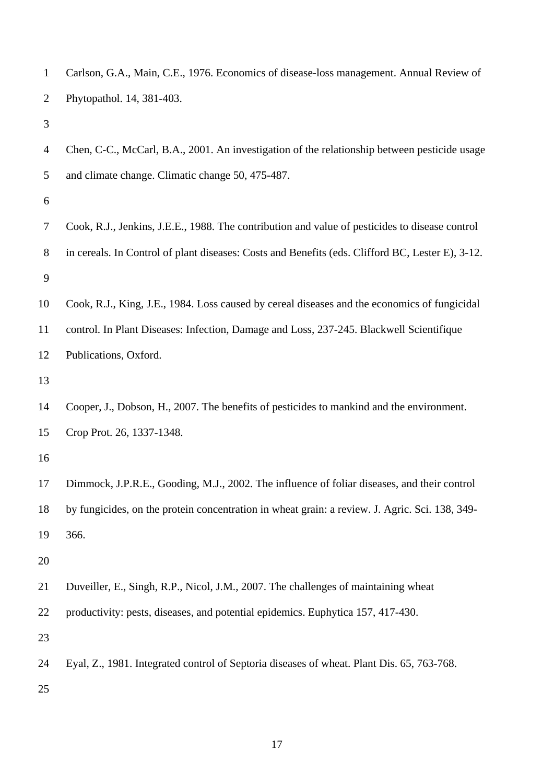| $\mathbf{1}$   | Carlson, G.A., Main, C.E., 1976. Economics of disease-loss management. Annual Review of          |
|----------------|--------------------------------------------------------------------------------------------------|
| 2              | Phytopathol. 14, 381-403.                                                                        |
| 3              |                                                                                                  |
| $\overline{4}$ | Chen, C-C., McCarl, B.A., 2001. An investigation of the relationship between pesticide usage     |
| 5              | and climate change. Climatic change 50, 475-487.                                                 |
| 6              |                                                                                                  |
| 7              | Cook, R.J., Jenkins, J.E.E., 1988. The contribution and value of pesticides to disease control   |
| 8              | in cereals. In Control of plant diseases: Costs and Benefits (eds. Clifford BC, Lester E), 3-12. |
| 9              |                                                                                                  |
| 10             | Cook, R.J., King, J.E., 1984. Loss caused by cereal diseases and the economics of fungicidal     |
| 11             | control. In Plant Diseases: Infection, Damage and Loss, 237-245. Blackwell Scientifique          |
| 12             | Publications, Oxford.                                                                            |
| 13             |                                                                                                  |
| 14             | Cooper, J., Dobson, H., 2007. The benefits of pesticides to mankind and the environment.         |
| 15             | Crop Prot. 26, 1337-1348.                                                                        |
| 16             |                                                                                                  |
| 17             | Dimmock, J.P.R.E., Gooding, M.J., 2002. The influence of foliar diseases, and their control      |
| 18             | by fungicides, on the protein concentration in wheat grain: a review. J. Agric. Sci. 138, 349-   |
| 19             | 366.                                                                                             |
| 20             |                                                                                                  |
| 21             | Duveiller, E., Singh, R.P., Nicol, J.M., 2007. The challenges of maintaining wheat               |
| 22             | productivity: pests, diseases, and potential epidemics. Euphytica 157, 417-430.                  |
| 23             |                                                                                                  |
| 24             | Eyal, Z., 1981. Integrated control of Septoria diseases of wheat. Plant Dis. 65, 763-768.        |
| 25             |                                                                                                  |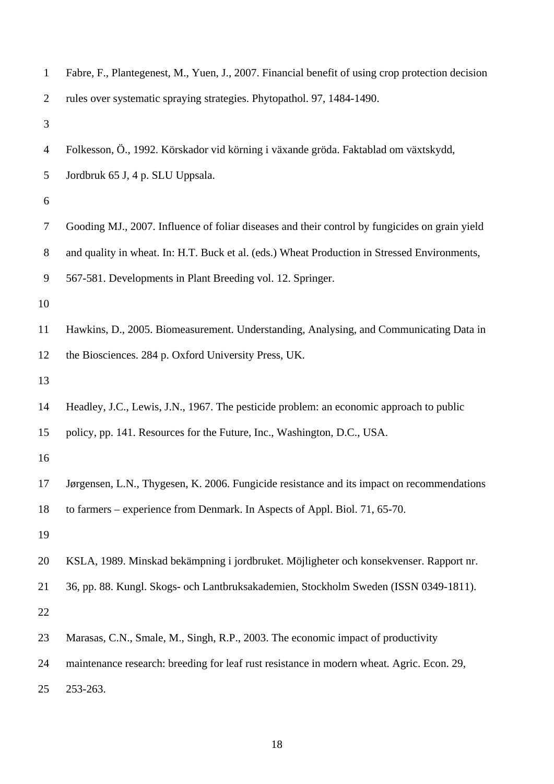| $\mathbf{1}$   | Fabre, F., Plantegenest, M., Yuen, J., 2007. Financial benefit of using crop protection decision |
|----------------|--------------------------------------------------------------------------------------------------|
| $\overline{2}$ | rules over systematic spraying strategies. Phytopathol. 97, 1484-1490.                           |
| 3              |                                                                                                  |
| $\overline{4}$ | Folkesson, Ö., 1992. Körskador vid körning i växande gröda. Faktablad om växtskydd,              |
| 5              | Jordbruk 65 J, 4 p. SLU Uppsala.                                                                 |
| 6              |                                                                                                  |
| 7              | Gooding MJ., 2007. Influence of foliar diseases and their control by fungicides on grain yield   |
| $8\,$          | and quality in wheat. In: H.T. Buck et al. (eds.) Wheat Production in Stressed Environments,     |
| 9              | 567-581. Developments in Plant Breeding vol. 12. Springer.                                       |
| 10             |                                                                                                  |
| 11             | Hawkins, D., 2005. Biomeasurement. Understanding, Analysing, and Communicating Data in           |
| 12             | the Biosciences. 284 p. Oxford University Press, UK.                                             |
| 13             |                                                                                                  |
| 14             | Headley, J.C., Lewis, J.N., 1967. The pesticide problem: an economic approach to public          |
| 15             | policy, pp. 141. Resources for the Future, Inc., Washington, D.C., USA.                          |
| 16             |                                                                                                  |
| 17             | Jørgensen, L.N., Thygesen, K. 2006. Fungicide resistance and its impact on recommendations       |
| 18             | to farmers – experience from Denmark. In Aspects of Appl. Biol. 71, 65-70.                       |
| 19             |                                                                                                  |
| 20             | KSLA, 1989. Minskad bekämpning i jordbruket. Möjligheter och konsekvenser. Rapport nr.           |
| 21             | 36, pp. 88. Kungl. Skogs- och Lantbruksakademien, Stockholm Sweden (ISSN 0349-1811).             |
| 22             |                                                                                                  |
| 23             | Marasas, C.N., Smale, M., Singh, R.P., 2003. The economic impact of productivity                 |
| 24             | maintenance research: breeding for leaf rust resistance in modern wheat. Agric. Econ. 29,        |
| 25             | 253-263.                                                                                         |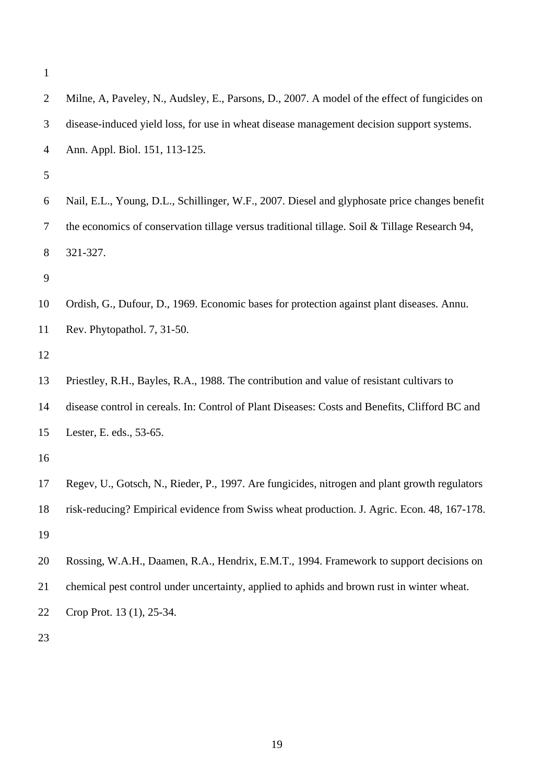| $\overline{2}$ | Milne, A, Paveley, N., Audsley, E., Parsons, D., 2007. A model of the effect of fungicides on  |
|----------------|------------------------------------------------------------------------------------------------|
| 3              | disease-induced yield loss, for use in wheat disease management decision support systems.      |
| $\overline{4}$ | Ann. Appl. Biol. 151, 113-125.                                                                 |
| 5              |                                                                                                |
| 6              | Nail, E.L., Young, D.L., Schillinger, W.F., 2007. Diesel and glyphosate price changes benefit  |
| $\tau$         | the economics of conservation tillage versus traditional tillage. Soil & Tillage Research 94,  |
| 8              | 321-327.                                                                                       |
| 9              |                                                                                                |
| 10             | Ordish, G., Dufour, D., 1969. Economic bases for protection against plant diseases. Annu.      |
| 11             | Rev. Phytopathol. 7, 31-50.                                                                    |
| 12             |                                                                                                |
| 13             | Priestley, R.H., Bayles, R.A., 1988. The contribution and value of resistant cultivars to      |
| 14             | disease control in cereals. In: Control of Plant Diseases: Costs and Benefits, Clifford BC and |
| 15             | Lester, E. eds., 53-65.                                                                        |
| 16             |                                                                                                |
| 17             | Regev, U., Gotsch, N., Rieder, P., 1997. Are fungicides, nitrogen and plant growth regulators  |
| 18             | risk-reducing? Empirical evidence from Swiss wheat production. J. Agric. Econ. 48, 167-178.    |
| 19             |                                                                                                |
| 20             | Rossing, W.A.H., Daamen, R.A., Hendrix, E.M.T., 1994. Framework to support decisions on        |
| 21             | chemical pest control under uncertainty, applied to aphids and brown rust in winter wheat.     |
| 22             | Crop Prot. 13 (1), 25-34.                                                                      |
| 23             |                                                                                                |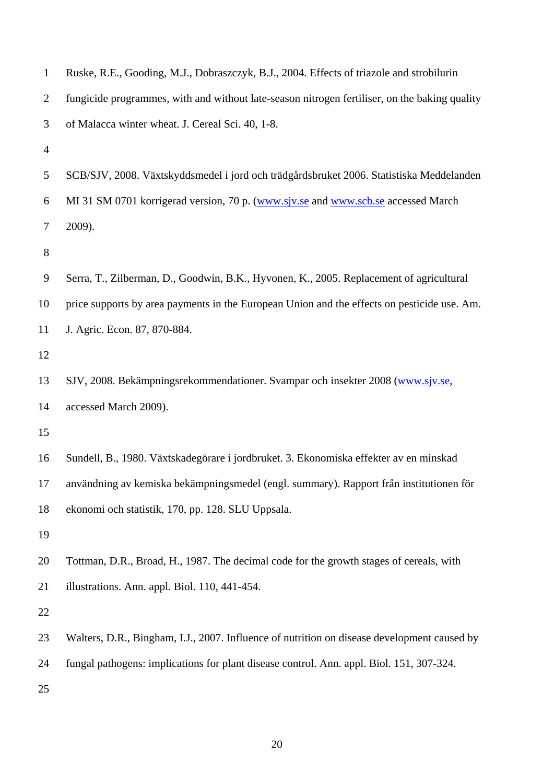| $\mathbf{1}$   | Ruske, R.E., Gooding, M.J., Dobraszczyk, B.J., 2004. Effects of triazole and strobilurin      |
|----------------|-----------------------------------------------------------------------------------------------|
| $\overline{2}$ | fungicide programmes, with and without late-season nitrogen fertiliser, on the baking quality |
| 3              | of Malacca winter wheat. J. Cereal Sci. 40, 1-8.                                              |
| $\overline{4}$ |                                                                                               |
| 5              | SCB/SJV, 2008. Växtskyddsmedel i jord och trädgårdsbruket 2006. Statistiska Meddelanden       |
| 6              | MI 31 SM 0701 korrigerad version, 70 p. (www.siv.se and www.scb.se accessed March             |
| $\tau$         | 2009).                                                                                        |
| 8              |                                                                                               |
| 9              | Serra, T., Zilberman, D., Goodwin, B.K., Hyvonen, K., 2005. Replacement of agricultural       |
| 10             | price supports by area payments in the European Union and the effects on pesticide use. Am.   |
| 11             | J. Agric. Econ. 87, 870-884.                                                                  |
| 12             |                                                                                               |
| 13             | SJV, 2008. Bekämpningsrekommendationer. Svampar och insekter 2008 (www.sjv.se,                |
| 14             | accessed March 2009).                                                                         |
| 15             |                                                                                               |
| 16             | Sundell, B., 1980. Växtskadegörare i jordbruket. 3. Ekonomiska effekter av en minskad         |
| 17             | användning av kemiska bekämpningsmedel (engl. summary). Rapport från institutionen för        |
| 18             | ekonomi och statistik, 170, pp. 128. SLU Uppsala.                                             |
| 19             |                                                                                               |
| 20             | Tottman, D.R., Broad, H., 1987. The decimal code for the growth stages of cereals, with       |
| 21             | illustrations. Ann. appl. Biol. 110, 441-454.                                                 |
| 22             |                                                                                               |
| 23             | Walters, D.R., Bingham, I.J., 2007. Influence of nutrition on disease development caused by   |
| 24             | fungal pathogens: implications for plant disease control. Ann. appl. Biol. 151, 307-324.      |
| 25             |                                                                                               |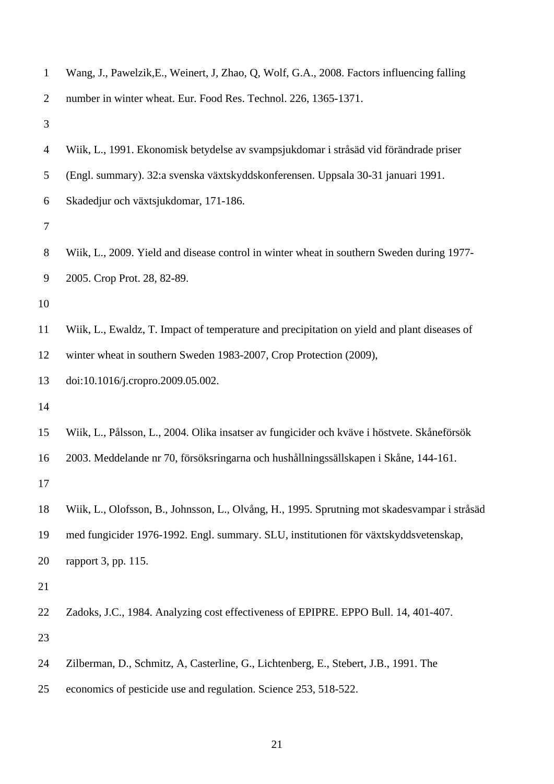| $\mathbf{1}$     | Wang, J., Pawelzik, E., Weinert, J. Zhao, Q. Wolf, G.A., 2008. Factors influencing falling   |
|------------------|----------------------------------------------------------------------------------------------|
| $\overline{2}$   | number in winter wheat. Eur. Food Res. Technol. 226, 1365-1371.                              |
| 3                |                                                                                              |
| $\overline{4}$   | Wiik, L., 1991. Ekonomisk betydelse av svampsjukdomar i stråsäd vid förändrade priser        |
| 5                | (Engl. summary). 32:a svenska växtskyddskonferensen. Uppsala 30-31 januari 1991.             |
| 6                | Skadedjur och växtsjukdomar, 171-186.                                                        |
| $\tau$           |                                                                                              |
| $8\,$            | Wiik, L., 2009. Yield and disease control in winter wheat in southern Sweden during 1977-    |
| $\boldsymbol{9}$ | 2005. Crop Prot. 28, 82-89.                                                                  |
| 10               |                                                                                              |
| 11               | Wiik, L., Ewaldz, T. Impact of temperature and precipitation on yield and plant diseases of  |
| 12               | winter wheat in southern Sweden 1983-2007, Crop Protection (2009),                           |
| 13               | doi:10.1016/j.cropro.2009.05.002.                                                            |
| 14               |                                                                                              |
| 15               | Wiik, L., Pålsson, L., 2004. Olika insatser av fungicider och kväve i höstvete. Skåneförsök  |
| 16               | 2003. Meddelande nr 70, försöksringarna och hushållningssällskapen i Skåne, 144-161.         |
| 17               |                                                                                              |
| 18               | Wiik, L., Olofsson, B., Johnsson, L., Olvång, H., 1995. Sprutning mot skadesvampar i stråsäd |
| 19               | med fungicider 1976-1992. Engl. summary. SLU, institutionen för växtskyddsvetenskap,         |
| 20               | rapport 3, pp. 115.                                                                          |
| 21               |                                                                                              |
| 22               | Zadoks, J.C., 1984. Analyzing cost effectiveness of EPIPRE. EPPO Bull. 14, 401-407.          |
| 23               |                                                                                              |
| 24               | Zilberman, D., Schmitz, A, Casterline, G., Lichtenberg, E., Stebert, J.B., 1991. The         |
| 25               | economics of pesticide use and regulation. Science 253, 518-522.                             |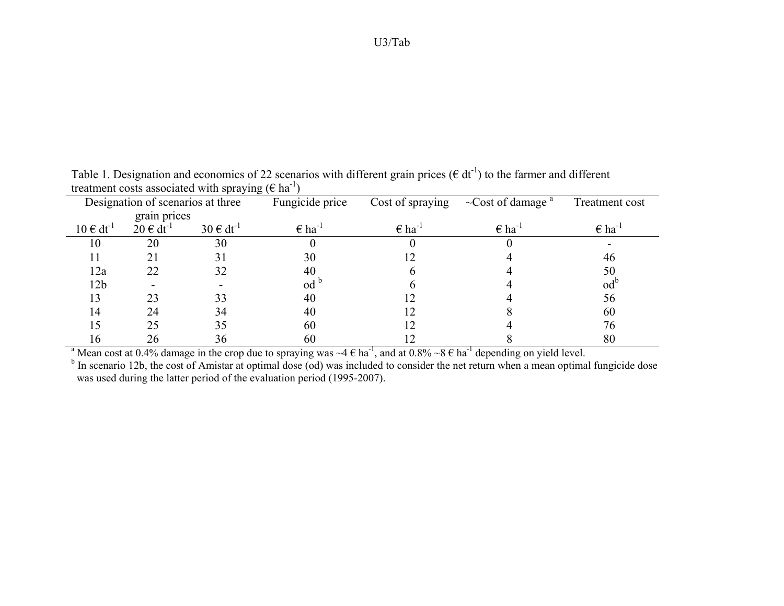|                  | Designation of scenarios at three  |                  | Fungicide price             | Cost of spraying            | $\sim$ Cost of damage <sup>a</sup> | Treatment cost              |
|------------------|------------------------------------|------------------|-----------------------------|-----------------------------|------------------------------------|-----------------------------|
|                  | grain prices                       |                  |                             |                             |                                    |                             |
| $10 \in dt^{-1}$ | $20 \text{ } \in \text{ } dt^{-1}$ | $30 \in dt^{-1}$ | $\epsilon$ ha <sup>-1</sup> | $\epsilon$ ha <sup>-1</sup> | $\epsilon$ ha <sup>-1</sup>        | $\epsilon$ ha <sup>-1</sup> |
| 10               | 20                                 | 30               |                             |                             |                                    |                             |
|                  | 21                                 | 31               | 30                          |                             |                                    | 46                          |
| 12a              | 22                                 | 32               | 40                          |                             |                                    | 50                          |
| 12 <sub>b</sub>  |                                    |                  | $\mathrm{od}^{\mathrm{c}}$  |                             |                                    | od <sup>1</sup>             |
| 13               | 23                                 | 33               | 40                          |                             |                                    | 56                          |
| 14               | 24                                 | 34               | 40                          |                             |                                    | 60                          |
|                  | 25                                 | 35               | 60                          |                             |                                    | 76                          |
| 16               | 26                                 | 36               | 60                          |                             |                                    | 80                          |

Table 1. Designation and economics of 22 scenarios with different grain prices ( $\epsilon$  dt<sup>-1</sup>) to the farmer and different treatment costs associated with spraying ( $\epsilon$  ha<sup>-1</sup>)

 $\frac{16}{a}$  Mean cost at 0.4% damage in the crop due to spraying was  $\sim$ 4 € ha<sup>-1</sup>, and at 0.8%  $\sim$ 8 € ha<sup>-1</sup> depending on yield level.

<sup>b</sup> In scenario 12b, the cost of Amistar at optimal dose (od) was included to consider the net return when a mean optimal fungicide dose was used during the latter period of the evaluation period (1995-2007).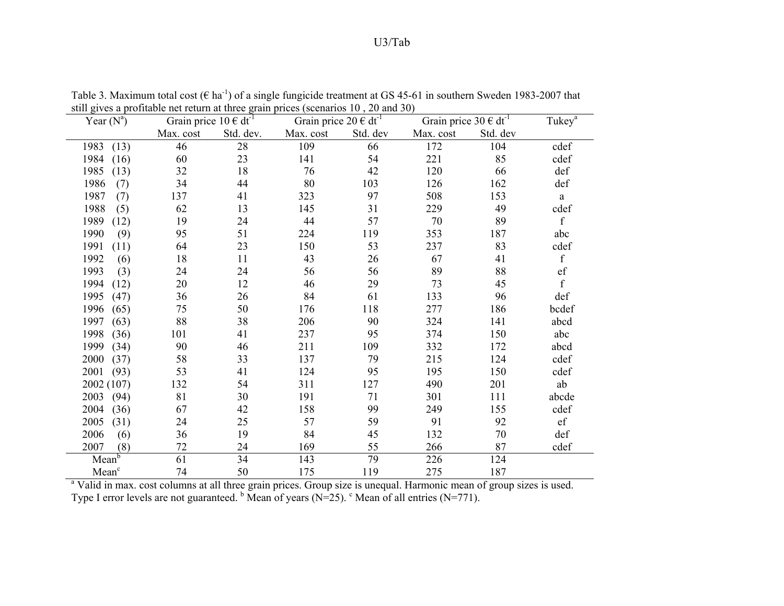| $\frac{1}{2}$ or $\frac{1}{2}$ or $\frac{1}{2}$ or $\frac{1}{2}$ or $\frac{1}{2}$ or $\frac{1}{2}$ or $\frac{1}{2}$ or $\frac{1}{2}$ or $\frac{1}{2}$ or $\frac{1}{2}$ or $\frac{1}{2}$ or $\frac{1}{2}$ or $\frac{1}{2}$ or $\frac{1}{2}$ or $\frac{1}{2}$ or $\frac{1}{2}$ or $\frac{1}{2}$ or |                              |           |                                         |          |                                             |          |                    |
|--------------------------------------------------------------------------------------------------------------------------------------------------------------------------------------------------------------------------------------------------------------------------------------------------|------------------------------|-----------|-----------------------------------------|----------|---------------------------------------------|----------|--------------------|
| Year $(N^a)$                                                                                                                                                                                                                                                                                     | Grain price $10 \in dt^{-1}$ |           | Grain price $20 \in \overline{dt^{-1}}$ |          | Grain price $30 \text{ } \in \text{ } dt^1$ |          | Tukey <sup>a</sup> |
|                                                                                                                                                                                                                                                                                                  | Max. cost                    | Std. dev. | Max. cost                               | Std. dev | Max. cost                                   | Std. dev |                    |
| 1983<br>(13)                                                                                                                                                                                                                                                                                     | 46                           | 28        | 109                                     | 66       | 172                                         | 104      | cdef               |
| 1984<br>(16)                                                                                                                                                                                                                                                                                     | 60                           | 23        | 141                                     | 54       | 221                                         | 85       | cdef               |
| 1985<br>(13)                                                                                                                                                                                                                                                                                     | 32                           | 18        | 76                                      | 42       | 120                                         | 66       | def                |
| 1986<br>(7)                                                                                                                                                                                                                                                                                      | 34                           | 44        | 80                                      | 103      | 126                                         | 162      | def                |
| 1987<br>(7)                                                                                                                                                                                                                                                                                      | 137                          | 41        | 323                                     | 97       | 508                                         | 153      | a                  |
| 1988<br>(5)                                                                                                                                                                                                                                                                                      | 62                           | 13        | 145                                     | 31       | 229                                         | 49       | cdef               |
| 1989<br>(12)                                                                                                                                                                                                                                                                                     | 19                           | 24        | 44                                      | 57       | $70\,$                                      | 89       | $\mathbf f$        |
| 1990<br>(9)                                                                                                                                                                                                                                                                                      | 95                           | 51        | 224                                     | 119      | 353                                         | 187      | abc                |
| 1991<br>(11)                                                                                                                                                                                                                                                                                     | 64                           | 23        | 150                                     | 53       | 237                                         | 83       | cdef               |
| 1992<br>(6)                                                                                                                                                                                                                                                                                      | 18                           | 11        | 43                                      | 26       | 67                                          | 41       | $\mathbf f$        |
| 1993<br>(3)                                                                                                                                                                                                                                                                                      | 24                           | 24        | 56                                      | 56       | 89                                          | 88       | ef                 |
| 1994<br>(12)                                                                                                                                                                                                                                                                                     | 20                           | 12        | 46                                      | 29       | 73                                          | 45       | $\mathbf f$        |
| 1995<br>(47)                                                                                                                                                                                                                                                                                     | 36                           | 26        | 84                                      | 61       | 133                                         | 96       | def                |
| 1996<br>(65)                                                                                                                                                                                                                                                                                     | 75                           | 50        | 176                                     | 118      | 277                                         | 186      | bcdef              |
| 1997<br>(63)                                                                                                                                                                                                                                                                                     | 88                           | 38        | 206                                     | 90       | 324                                         | 141      | abcd               |
| 1998<br>(36)                                                                                                                                                                                                                                                                                     | 101                          | 41        | 237                                     | 95       | 374                                         | 150      | abc                |
| 1999<br>(34)                                                                                                                                                                                                                                                                                     | 90                           | 46        | 211                                     | 109      | 332                                         | 172      | abcd               |
| 2000<br>(37)                                                                                                                                                                                                                                                                                     | 58                           | 33        | 137                                     | 79       | 215                                         | 124      | cdef               |
| 2001<br>(93)                                                                                                                                                                                                                                                                                     | 53                           | 41        | 124                                     | 95       | 195                                         | 150      | cdef               |
| 2002 (107)                                                                                                                                                                                                                                                                                       | 132                          | 54        | 311                                     | 127      | 490                                         | 201      | ab                 |
| 2003<br>(94)                                                                                                                                                                                                                                                                                     | 81                           | 30        | 191                                     | 71       | 301                                         | 111      | abcde              |
| 2004<br>(36)                                                                                                                                                                                                                                                                                     | 67                           | 42        | 158                                     | 99       | 249                                         | 155      | cdef               |
| 2005<br>(31)                                                                                                                                                                                                                                                                                     | 24                           | 25        | 57                                      | 59       | 91                                          | 92       | $\mathrm{ef}$      |
| 2006<br>(6)                                                                                                                                                                                                                                                                                      | 36                           | 19        | 84                                      | 45       | 132                                         | 70       | def                |
| 2007<br>(8)                                                                                                                                                                                                                                                                                      | 72                           | 24        | 169                                     | 55       | 266                                         | 87       | cdef               |
| Mean <sup>b</sup>                                                                                                                                                                                                                                                                                | 61                           | 34        | 143                                     | 79       | 226                                         | 124      |                    |
| Mean <sup>c</sup>                                                                                                                                                                                                                                                                                | 74                           | 50        | 175                                     | 119      | 275                                         | 187      |                    |

Table 3. Maximum total cost ( $\epsilon$  ha<sup>-1</sup>) of a single fungicide treatment at GS 45-61 in southern Sweden 1983-2007 that still gives a profitable net return at three grain prices (scenarios 10 , 20 and 30)

Mean<sup>c</sup> 74 50 175 119 275 187<br>a Valid in max. cost columns at all three grain prices. Group size is unequal. Harmonic mean of group sizes is used. Type I error levels are not guaranteed.  $\frac{b}{b}$  Mean of years (N=25).  $\frac{c}{c}$  Mean of all entries (N=771).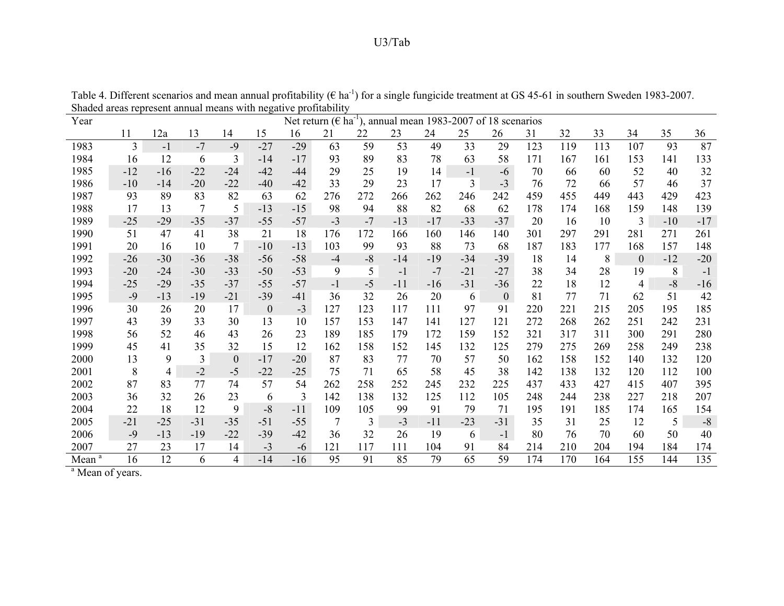| Year      |       |       |                 |                |              |       | Net return ( $\epsilon$ ha <sup>-1</sup> ) |      | ), annual mean 1983-2007 of 18 scenarios |       |                |                |     |     |     |                |       |       |
|-----------|-------|-------|-----------------|----------------|--------------|-------|--------------------------------------------|------|------------------------------------------|-------|----------------|----------------|-----|-----|-----|----------------|-------|-------|
|           | 11    | 12a   | 13              | 14             | 15           | 16    | 21                                         | 22   | 23                                       | 24    | 25             | 26             | 31  | 32  | 33  | 34             | 35    | 36    |
| 1983      | 3     | $-1$  | $-7$            | $-9$           | $-27$        | $-29$ | 63                                         | 59   | 53                                       | 49    | 33             | 29             | 123 | 119 | 113 | 107            | 93    | 87    |
| 1984      | 16    | 12    | 6               | 3              | $-14$        | $-17$ | 93                                         | 89   | 83                                       | 78    | 63             | 58             | 171 | 167 | 161 | 153            | 141   | 133   |
| 1985      | $-12$ | $-16$ | $-22$           | $-24$          | $-42$        | $-44$ | 29                                         | 25   | 19                                       | 14    | $-1$           | $-6$           | 70  | 66  | 60  | 52             | 40    | 32    |
| 1986      | $-10$ | $-14$ | $-20$           | $-22$          | $-40$        | $-42$ | 33                                         | 29   | 23                                       | 17    | $\overline{3}$ | $-3$           | 76  | 72  | 66  | 57             | 46    | 37    |
| 1987      | 93    | 89    | 83              | 82             | 63           | 62    | 276                                        | 272  | 266                                      | 262   | 246            | 242            | 459 | 455 | 449 | 443            | 429   | 423   |
| 1988      | 17    | 13    | $7\phantom{.0}$ | 5              | $-13$        | $-15$ | 98                                         | 94   | 88                                       | 82    | 68             | 62             | 178 | 174 | 168 | 159            | 148   | 139   |
| 1989      | $-25$ | $-29$ | $-35$           | $-37$          | $-55$        | $-57$ | $-3$                                       | $-7$ | $-13$                                    | $-17$ | $-33$          | $-37$          | 20  | 16  | 10  | 3              | $-10$ | $-17$ |
| 1990      | 51    | 47    | 41              | 38             | 21           | 18    | 176                                        | 172  | 166                                      | 160   | 146            | 140            | 301 | 297 | 291 | 281            | 271   | 261   |
| 1991      | 20    | 16    | 10              | $\overline{7}$ | $-10$        | $-13$ | 103                                        | 99   | 93                                       | 88    | 73             | 68             | 187 | 183 | 177 | 168            | 157   | 148   |
| 1992      | -26   | $-30$ | $-36$           | $-38$          | $-56$        | $-58$ | $-4$                                       | $-8$ | -14                                      | $-19$ | $-34$          | $-39$          | 18  | 14  | 8   | $\mathbf{0}$   | $-12$ | $-20$ |
| 1993      | $-20$ | $-24$ | $-30$           | $-33$          | $-50$        | $-53$ | 9                                          | 5    | $-1$                                     | $-7$  | $-21$          | $-27$          | 38  | 34  | 28  | 19             | 8     | $-1$  |
| 1994      | $-25$ | $-29$ | $-35$           | $-37$          | $-55$        | $-57$ | $-1$                                       | $-5$ | $-11$                                    | $-16$ | $-31$          | $-36$          | 22  | 18  | 12  | $\overline{4}$ | $-8$  | $-16$ |
| 1995      | $-9$  | $-13$ | $-19$           | $-21$          | $-39$        | $-41$ | 36                                         | 32   | 26                                       | 20    | 6              | $\overline{0}$ | 81  | 77  | 71  | 62             | 51    | 42    |
| 1996      | 30    | 26    | 20              | 17             | $\mathbf{0}$ | $-3$  | 127                                        | 123  | 117                                      | 111   | 97             | 91             | 220 | 221 | 215 | 205            | 195   | 185   |
| 1997      | 43    | 39    | 33              | 30             | 13           | 10    | 157                                        | 153  | 147                                      | 141   | 127            | 121            | 272 | 268 | 262 | 251            | 242   | 231   |
| 1998      | 56    | 52    | 46              | 43             | 26           | 23    | 189                                        | 185  | 179                                      | 172   | 159            | 152            | 321 | 317 | 311 | 300            | 291   | 280   |
| 1999      | 45    | 41    | 35              | 32             | 15           | 12    | 162                                        | 158  | 152                                      | 145   | 132            | 125            | 279 | 275 | 269 | 258            | 249   | 238   |
| 2000      | 13    | 9     | 3               | $\mathbf{0}$   | $-17$        | $-20$ | 87                                         | 83   | 77                                       | 70    | 57             | 50             | 162 | 158 | 152 | 140            | 132   | 120   |
| 2001      | 8     | 4     | $-2$            | $-5$           | $-22$        | $-25$ | 75                                         | 71   | 65                                       | 58    | 45             | 38             | 142 | 138 | 132 | 120            | 112   | 100   |
| 2002      | 87    | 83    | 77              | 74             | 57           | 54    | 262                                        | 258  | 252                                      | 245   | 232            | 225            | 437 | 433 | 427 | 415            | 407   | 395   |
| 2003      | 36    | 32    | 26              | 23             | 6            | 3     | 142                                        | 138  | 132                                      | 125   | 112            | 105            | 248 | 244 | 238 | 227            | 218   | 207   |
| 2004      | 22    | 18    | 12              | 9              | $-8$         | $-11$ | 109                                        | 105  | 99                                       | 91    | 79             | 71             | 195 | 191 | 185 | 174            | 165   | 154   |
| 2005      | $-21$ | $-25$ | $-31$           | $-35$          | $-51$        | $-55$ | 7                                          | 3    | $-3$                                     | $-11$ | $-23$          | $-31$          | 35  | 31  | 25  | 12             | 5     | $-8$  |
| 2006      | $-9$  | $-13$ | $-19$           | $-22$          | $-39$        | $-42$ | 36                                         | 32   | 26                                       | 19    | 6              | $-1$           | 80  | 76  | 70  | 60             | 50    | 40    |
| 2007      | 27    | 23    | 17              | 14             | $-3$         | -6    | 121                                        | 117  | 111                                      | 104   | 91             | 84             | 214 | 210 | 204 | 194            | 184   | 174   |
| a<br>Mean | 16    | 12    | 6               | 4              | $-14$        | $-16$ | 95                                         | 91   | 85                                       | 79    | 65             | 59             | 174 | 170 | 164 | 155            | 144   | 135   |

Table 4. Different scenarios and mean annual profitability ( $\epsilon$  ha<sup>-1</sup>) for a single fungicide treatment at GS 45-61 in southern Sweden 1983-2007. Shaded areas represent annual means with negative profitability

<sup>a</sup> Mean of years.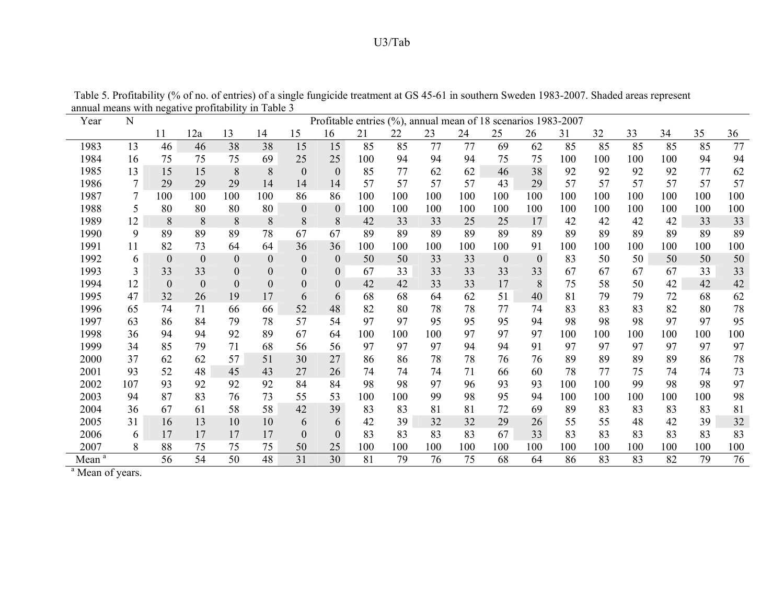| Year              | N   |              |                  |                  |                  |                  |                | Profitable entries (%), annual mean of 18 scenarios 1983-2007 |     |     |     |                  |              |     |     |     |     |     |     |
|-------------------|-----|--------------|------------------|------------------|------------------|------------------|----------------|---------------------------------------------------------------|-----|-----|-----|------------------|--------------|-----|-----|-----|-----|-----|-----|
|                   |     | 11           | 12a              | 13               | 14               | 15               | 16             | 21                                                            | 22  | 23  | 24  | 25               | 26           | 31  | 32  | 33  | 34  | 35  | 36  |
| 1983              | 13  | 46           | 46               | 38               | 38               | 15               | 15             | 85                                                            | 85  | 77  | 77  | 69               | 62           | 85  | 85  | 85  | 85  | 85  | 77  |
| 1984              | 16  | 75           | 75               | 75               | 69               | 25               | 25             | 100                                                           | 94  | 94  | 94  | 75               | 75           | 100 | 100 | 100 | 100 | 94  | 94  |
| 1985              | 13  | 15           | 15               | 8                | 8                | $\theta$         | $\mathbf{0}$   | 85                                                            | 77  | 62  | 62  | 46               | 38           | 92  | 92  | 92  | 92  | 77  | 62  |
| 1986              | 7   | 29           | 29               | 29               | 14               | 14               | 14             | 57                                                            | 57  | 57  | 57  | 43               | 29           | 57  | 57  | 57  | 57  | 57  | 57  |
| 1987              | 7   | 100          | 100              | 100              | 100              | 86               | 86             | 100                                                           | 100 | 100 | 100 | 100              | 100          | 100 | 100 | 100 | 100 | 100 | 100 |
| 1988              | 5   | 80           | 80               | 80               | 80               | $\boldsymbol{0}$ | $\overline{0}$ | 100                                                           | 100 | 100 | 100 | 100              | 100          | 100 | 100 | 100 | 100 | 100 | 100 |
| 1989              | 12  | 8            | 8                | 8                | 8                | 8                | 8              | 42                                                            | 33  | 33  | 25  | 25               | 17           | 42  | 42  | 42  | 42  | 33  | 33  |
| 1990              | 9   | 89           | 89               | 89               | 78               | 67               | 67             | 89                                                            | 89  | 89  | 89  | 89               | 89           | 89  | 89  | 89  | 89  | 89  | 89  |
| 1991              | 11  | 82           | 73               | 64               | 64               | 36               | 36             | 100                                                           | 100 | 100 | 100 | 100              | 91           | 100 | 100 | 100 | 100 | 100 | 100 |
| 1992              | 6   | $\mathbf{0}$ | $\mathbf{0}$     | $\theta$         | $\mathbf{0}$     | $\mathbf{0}$     | $\theta$       | 50                                                            | 50  | 33  | 33  | $\boldsymbol{0}$ | $\mathbf{0}$ | 83  | 50  | 50  | 50  | 50  | 50  |
| 1993              | 3   | 33           | 33               | $\boldsymbol{0}$ | $\boldsymbol{0}$ | $\mathbf{0}$     | $\theta$       | 67                                                            | 33  | 33  | 33  | 33               | 33           | 67  | 67  | 67  | 67  | 33  | 33  |
| 1994              | 12  | $\theta$     | $\boldsymbol{0}$ | $\boldsymbol{0}$ | $\boldsymbol{0}$ | $\boldsymbol{0}$ | $\theta$       | 42                                                            | 42  | 33  | 33  | 17               | 8            | 75  | 58  | 50  | 42  | 42  | 42  |
| 1995              | 47  | 32           | 26               | 19               | 17               | 6                | 6              | 68                                                            | 68  | 64  | 62  | 51               | 40           | 81  | 79  | 79  | 72  | 68  | 62  |
| 1996              | 65  | 74           | 71               | 66               | 66               | 52               | 48             | 82                                                            | 80  | 78  | 78  | 77               | 74           | 83  | 83  | 83  | 82  | 80  | 78  |
| 1997              | 63  | 86           | 84               | 79               | 78               | 57               | 54             | 97                                                            | 97  | 95  | 95  | 95               | 94           | 98  | 98  | 98  | 97  | 97  | 95  |
| 1998              | 36  | 94           | 94               | 92               | 89               | 67               | 64             | 100                                                           | 100 | 100 | 97  | 97               | 97           | 100 | 100 | 100 | 100 | 100 | 100 |
| 1999              | 34  | 85           | 79               | 71               | 68               | 56               | 56             | 97                                                            | 97  | 97  | 94  | 94               | 91           | 97  | 97  | 97  | 97  | 97  | 97  |
| 2000              | 37  | 62           | 62               | 57               | 51               | 30               | 27             | 86                                                            | 86  | 78  | 78  | 76               | 76           | 89  | 89  | 89  | 89  | 86  | 78  |
| 2001              | 93  | 52           | 48               | 45               | 43               | 27               | 26             | 74                                                            | 74  | 74  | 71  | 66               | 60           | 78  | 77  | 75  | 74  | 74  | 73  |
| 2002              | 107 | 93           | 92               | 92               | 92               | 84               | 84             | 98                                                            | 98  | 97  | 96  | 93               | 93           | 100 | 100 | 99  | 98  | 98  | 97  |
| 2003              | 94  | 87           | 83               | 76               | 73               | 55               | 53             | 100                                                           | 100 | 99  | 98  | 95               | 94           | 100 | 100 | 100 | 100 | 100 | 98  |
| 2004              | 36  | 67           | 61               | 58               | 58               | 42               | 39             | 83                                                            | 83  | 81  | 81  | 72               | 69           | 89  | 83  | 83  | 83  | 83  | 81  |
| 2005              | 31  | 16           | 13               | 10               | 10               | 6                | 6              | 42                                                            | 39  | 32  | 32  | 29               | 26           | 55  | 55  | 48  | 42  | 39  | 32  |
| 2006              | 6   | 17           | 17               | 17               | 17               | $\overline{0}$   | $\Omega$       | 83                                                            | 83  | 83  | 83  | 67               | 33           | 83  | 83  | 83  | 83  | 83  | 83  |
| 2007              | 8   | 88           | 75               | 75               | 75               | 50               | 25             | 100                                                           | 100 | 100 | 100 | 100              | 100          | 100 | 100 | 100 | 100 | 100 | 100 |
| Mean <sup>a</sup> |     | 56           | 54               | 50               | 48               | 31               | 30             | 81                                                            | 79  | 76  | 75  | 68               | 64           | 86  | 83  | 83  | 82  | 79  | 76  |

 Table 5. Profitability (% of no. of entries) of a single fungicide treatment at GS 45-61 in southern Sweden 1983-2007. Shaded areas represent annual means with negative profitability in Table 3

<sup>a</sup> Mean of years.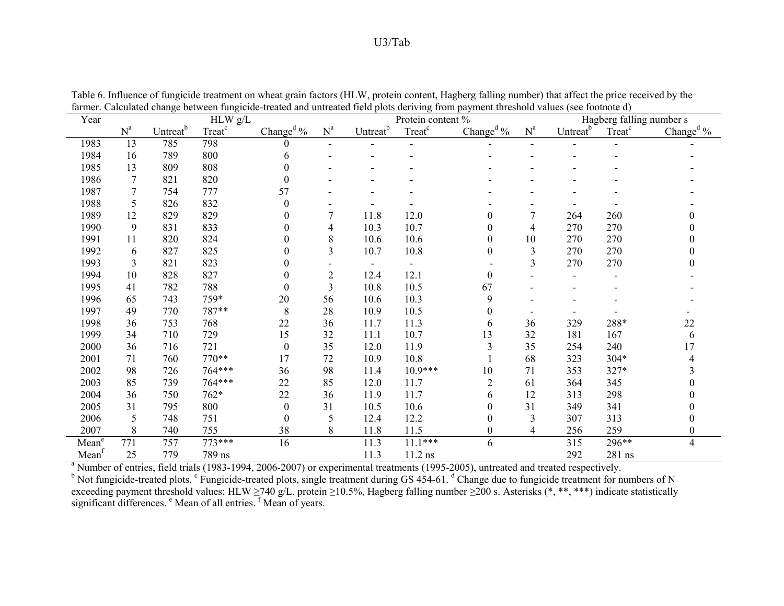| Year              |                |                      | HLW g/L            |                       |                |                      | Protein content %  | $p_{\alpha}$ , $n_{\alpha}$ , $n_{\alpha}$ , $n_{\alpha}$ , $n_{\alpha}$ |                |                      |                    | Hagberg falling number s            |
|-------------------|----------------|----------------------|--------------------|-----------------------|----------------|----------------------|--------------------|--------------------------------------------------------------------------|----------------|----------------------|--------------------|-------------------------------------|
|                   | $N^a$          | Untreat <sup>b</sup> | Treat <sup>c</sup> | Change <sup>d</sup> % | $N^a$          | Untreat <sup>b</sup> | Treat <sup>c</sup> | Change <sup>d <math>\%</math></sup>                                      | $N^a$          | Untreat <sup>b</sup> | Treat <sup>c</sup> | Change <sup>d <math>\%</math></sup> |
| 1983              | 13             | 785                  | 798                | 0                     |                |                      |                    |                                                                          |                |                      |                    |                                     |
| 1984              | 16             | 789                  | 800                | 6                     |                |                      |                    |                                                                          |                |                      |                    |                                     |
| 1985              | 13             | 809                  | 808                | $\theta$              |                |                      |                    |                                                                          |                |                      |                    |                                     |
| 1986              | $\overline{7}$ | 821                  | 820                | $\boldsymbol{0}$      |                |                      |                    |                                                                          |                |                      |                    |                                     |
| 1987              | 7              | 754                  | 777                | 57                    |                |                      |                    |                                                                          |                |                      |                    |                                     |
| 1988              | 5              | 826                  | 832                | $\theta$              |                |                      |                    |                                                                          |                |                      |                    |                                     |
| 1989              | 12             | 829                  | 829                | 0                     | 7              | 11.8                 | 12.0               | $\boldsymbol{0}$                                                         | $\tau$         | 264                  | 260                |                                     |
| 1990              | 9              | 831                  | 833                | $\theta$              | 4              | 10.3                 | 10.7               | $\boldsymbol{0}$                                                         | $\overline{4}$ | 270                  | 270                |                                     |
| 1991              | 11             | 820                  | 824                | 0                     | 8              | 10.6                 | 10.6               | $\boldsymbol{0}$                                                         | 10             | 270                  | 270                |                                     |
| 1992              | 6              | 827                  | 825                | 0                     | 3              | 10.7                 | 10.8               | $\boldsymbol{0}$                                                         | 3              | 270                  | 270                |                                     |
| 1993              | 3              | 821                  | 823                | 0                     |                |                      |                    |                                                                          | $\overline{3}$ | 270                  | 270                |                                     |
| 1994              | 10             | 828                  | 827                | 0                     | $\overline{2}$ | 12.4                 | 12.1               | $\boldsymbol{0}$                                                         |                |                      |                    |                                     |
| 1995              | 41             | 782                  | 788                | $\theta$              | $\overline{3}$ | 10.8                 | 10.5               | 67                                                                       |                |                      |                    |                                     |
| 1996              | 65             | 743                  | 759*               | $20\,$                | 56             | 10.6                 | 10.3               | 9                                                                        |                |                      |                    |                                     |
| 1997              | 49             | 770                  | 787**              | $\,8\,$               | 28             | 10.9                 | 10.5               | $\theta$                                                                 |                |                      |                    |                                     |
| 1998              | 36             | 753                  | 768                | 22                    | 36             | 11.7                 | 11.3               | 6                                                                        | 36             | 329                  | 288*               | 22                                  |
| 1999              | 34             | 710                  | 729                | 15                    | 32             | 11.1                 | 10.7               | 13                                                                       | 32             | 181                  | 167                | 6                                   |
| 2000              | 36             | 716                  | 721                | $\boldsymbol{0}$      | 35             | 12.0                 | 11.9               | $\overline{3}$                                                           | 35             | 254                  | 240                | 17                                  |
| 2001              | 71             | 760                  | 770**              | 17                    | 72             | 10.9                 | 10.8               |                                                                          | 68             | 323                  | 304*               |                                     |
| 2002              | 98             | 726                  | 764***             | 36                    | 98             | 11.4                 | $10.9***$          | 10                                                                       | 71             | 353                  | 327*               |                                     |
| 2003              | 85             | 739                  | 764***             | 22                    | 85             | 12.0                 | 11.7               | $\overline{c}$                                                           | 61             | 364                  | 345                |                                     |
| 2004              | 36             | 750                  | 762*               | 22                    | 36             | 11.9                 | 11.7               | 6                                                                        | 12             | 313                  | 298                |                                     |
| 2005              | 31             | 795                  | 800                | $\theta$              | 31             | 10.5                 | 10.6               | $\mathbf{0}$                                                             | 31             | 349                  | 341                | 0                                   |
| 2006              | 5              | 748                  | 751                | $\boldsymbol{0}$      | 5              | 12.4                 | 12.2               | $\boldsymbol{0}$                                                         | 3              | 307                  | 313                | 0                                   |
| 2007              | 8              | 740                  | 755                | 38                    | 8              | 11.8                 | 11.5               | $\boldsymbol{0}$                                                         | 4              | 256                  | 259                | 0                                   |
| Mean <sup>e</sup> | 771            | 757                  | 773***             | 16                    |                | 11.3                 | $11.1***$          | 6                                                                        |                | 315                  | 296**              | $\overline{\mathbf{4}}$             |
| Mean <sup>f</sup> | 25             | 779                  | 789 ns             |                       |                | 11.3                 | $11.2$ ns          |                                                                          |                | 292                  | 281 ns             |                                     |

Table 6. Influence of fungicide treatment on wheat grain factors (HLW, protein content, Hagberg falling number) that affect the price received by the farmer. Calculated change between fungicide-treated and untreated field plots deriving from payment threshold values (see footnote d)

<sup>a</sup> Number of entries, field trials (1983-1994, 2006-2007) or experimental treatments (1995-2005), untreated and treated respectively.<br><sup>b</sup> Not fungicide-treated plots. <sup>c</sup> Fungicide-treated plots, single treatment during exceeding payment threshold values: HLW ≥740 g/L, protein ≥10.5%, Hagberg falling number ≥200 s. Asterisks (\*, \*\*, \*\*\*) indicate statistically significant differences. <sup>e</sup> Mean of all entries. <sup>f</sup> Mean of years.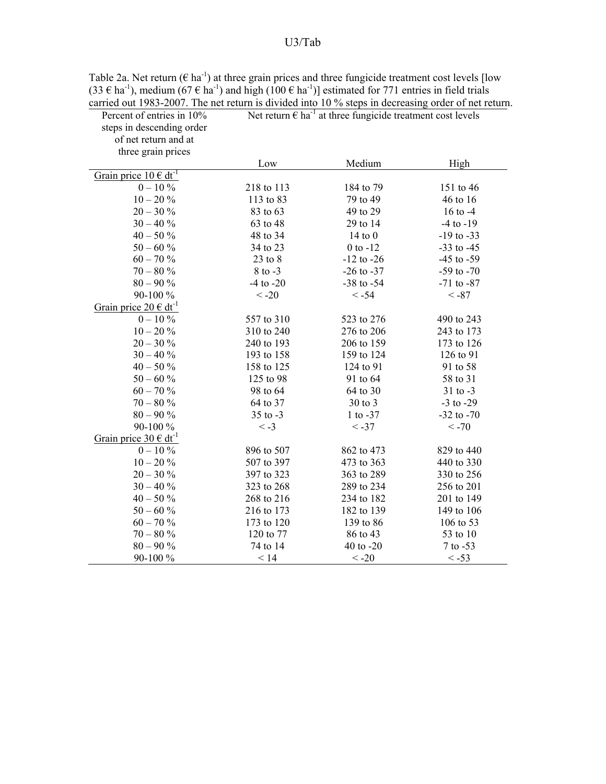| Percent of entries in 10%                      | carried out $1983-2007$ . The net return is divided into TO % steps in decreasing order of net return<br>Net return $\epsilon$ ha <sup>-1</sup> at three fungicide treatment cost levels |                |                |  |  |  |  |  |  |
|------------------------------------------------|------------------------------------------------------------------------------------------------------------------------------------------------------------------------------------------|----------------|----------------|--|--|--|--|--|--|
| steps in descending order                      |                                                                                                                                                                                          |                |                |  |  |  |  |  |  |
| of net return and at                           |                                                                                                                                                                                          |                |                |  |  |  |  |  |  |
| three grain prices                             |                                                                                                                                                                                          |                |                |  |  |  |  |  |  |
|                                                | Low                                                                                                                                                                                      | Medium         | High           |  |  |  |  |  |  |
| Grain price $10 \in dt^{-1}$                   |                                                                                                                                                                                          |                |                |  |  |  |  |  |  |
| $0 - 10\%$                                     | 218 to 113                                                                                                                                                                               | 184 to 79      | 151 to 46      |  |  |  |  |  |  |
| $10 - 20 \%$                                   | 113 to 83                                                                                                                                                                                | 79 to 49       | 46 to 16       |  |  |  |  |  |  |
| $20 - 30 \%$                                   | 83 to 63                                                                                                                                                                                 | 49 to 29       | 16 to $-4$     |  |  |  |  |  |  |
| $30 - 40\%$                                    | 63 to 48                                                                                                                                                                                 | 29 to 14       | $-4$ to $-19$  |  |  |  |  |  |  |
| $40 - 50\%$                                    | 48 to 34                                                                                                                                                                                 | $14$ to $0$    | $-19$ to $-33$ |  |  |  |  |  |  |
| $50 - 60%$                                     | 34 to 23                                                                                                                                                                                 | $0$ to $-12$   | $-33$ to $-45$ |  |  |  |  |  |  |
| $60 - 70 %$                                    | $23$ to $8$                                                                                                                                                                              | $-12$ to $-26$ | $-45$ to $-59$ |  |  |  |  |  |  |
| $70 - 80 \%$                                   | $8$ to $-3$                                                                                                                                                                              | $-26$ to $-37$ | $-59$ to $-70$ |  |  |  |  |  |  |
| $80 - 90 %$                                    | $-4$ to $-20$                                                                                                                                                                            | $-38$ to $-54$ | $-71$ to $-87$ |  |  |  |  |  |  |
| 90-100 %                                       | $< -20$                                                                                                                                                                                  | $< -54$        | $< -87$        |  |  |  |  |  |  |
| Grain price $20 \text{ } \in \text{ } dt^{-1}$ |                                                                                                                                                                                          |                |                |  |  |  |  |  |  |
| $0 - 10\%$                                     | 557 to 310                                                                                                                                                                               | 523 to 276     | 490 to 243     |  |  |  |  |  |  |
| $10 - 20 \%$                                   | 310 to 240                                                                                                                                                                               | 276 to 206     | 243 to 173     |  |  |  |  |  |  |
| $20 - 30%$                                     | 240 to 193                                                                                                                                                                               | 206 to 159     | 173 to 126     |  |  |  |  |  |  |
| $30 - 40 \%$                                   | 193 to 158                                                                                                                                                                               | 159 to 124     | 126 to 91      |  |  |  |  |  |  |
| $40 - 50%$                                     | 158 to 125                                                                                                                                                                               | 124 to 91      | 91 to 58       |  |  |  |  |  |  |
| $50 - 60%$                                     | 125 to 98                                                                                                                                                                                | 91 to 64       | 58 to 31       |  |  |  |  |  |  |
| $60 - 70%$                                     | 98 to 64                                                                                                                                                                                 | 64 to 30       | $31$ to $-3$   |  |  |  |  |  |  |
| $70 - 80 \%$                                   | 64 to 37                                                                                                                                                                                 | 30 to 3        | $-3$ to $-29$  |  |  |  |  |  |  |
| $80 - 90\%$                                    | $35$ to $-3$                                                                                                                                                                             | $1$ to $-37$   | $-32$ to $-70$ |  |  |  |  |  |  |
| 90-100 %                                       | $\langle -3$                                                                                                                                                                             | $< -37$        | $< -70$        |  |  |  |  |  |  |
| Grain price $30 \text{ } \in \text{ } dt^{-1}$ |                                                                                                                                                                                          |                |                |  |  |  |  |  |  |
| $0 - 10\%$                                     | 896 to 507                                                                                                                                                                               | 862 to 473     | 829 to 440     |  |  |  |  |  |  |
| $10 - 20 \%$                                   | 507 to 397                                                                                                                                                                               | 473 to 363     | 440 to 330     |  |  |  |  |  |  |
| $20 - 30 \%$                                   | 397 to 323                                                                                                                                                                               | 363 to 289     | 330 to 256     |  |  |  |  |  |  |
| $30 - 40 \%$                                   | 323 to 268                                                                                                                                                                               | 289 to 234     | 256 to 201     |  |  |  |  |  |  |
| $40 - 50 \%$                                   | 268 to 216                                                                                                                                                                               | 234 to 182     | 201 to 149     |  |  |  |  |  |  |
| $50 - 60%$                                     | 216 to 173                                                                                                                                                                               | 182 to 139     | 149 to 106     |  |  |  |  |  |  |
| $60 - 70%$                                     | 173 to 120                                                                                                                                                                               | 139 to 86      | 106 to 53      |  |  |  |  |  |  |
| $70 - 80%$                                     | 120 to 77                                                                                                                                                                                | 86 to 43       | 53 to 10       |  |  |  |  |  |  |
| $80 - 90 %$                                    | 74 to 14                                                                                                                                                                                 | 40 to -20      | $7$ to $-53$   |  |  |  |  |  |  |
| 90-100 %                                       | < 14                                                                                                                                                                                     | $< -20$        | $< -53$        |  |  |  |  |  |  |

Table 2a. Net return ( $\epsilon$  ha<sup>-1</sup>) at three grain prices and three fungicide treatment cost levels [low  $(33 \in ha^{-1})$ , medium  $(67 \in ha^{-1})$  and high  $(100 \in ha^{-1})$ ] estimated for 771 entries in field trials carried out 1983-2007. The net return is divided into 10 % steps in decreasing order of net return.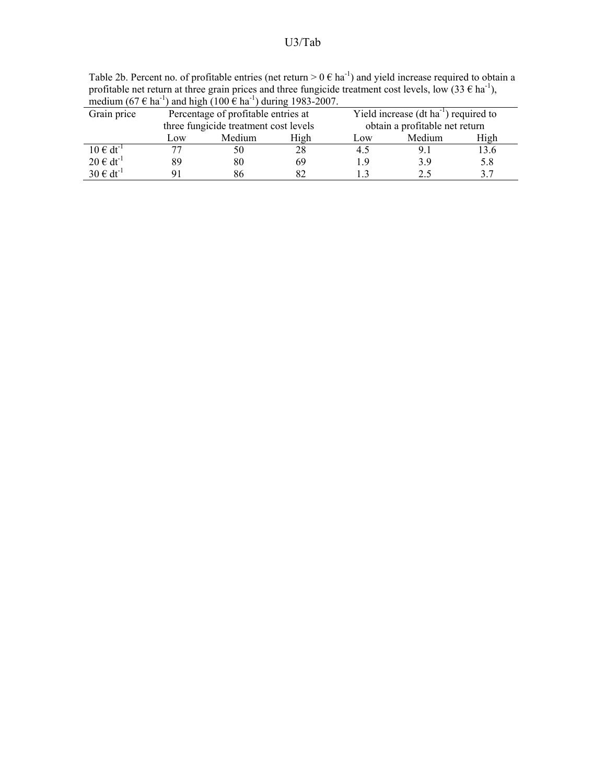Table 2b. Percent no. of profitable entries (net return  $> 0 \in ha^{-1}$ ) and yield increase required to obtain a profitable net return at three grain prices and three fungicide treatment cost levels, low  $(33 \in ha^{-1})$ , medium (67  $\epsilon$  ha<sup>-1</sup>) and high (100  $\epsilon$  ha<sup>-1</sup>) during 1983-2007.

| Grain price      | Percentage of profitable entries at   |        |      |                                | Yield increase $(dt ha^{-1})$ required to |      |  |
|------------------|---------------------------------------|--------|------|--------------------------------|-------------------------------------------|------|--|
|                  | three fungicide treatment cost levels |        |      | obtain a profitable net return |                                           |      |  |
|                  | Low                                   | Medium | High | Low                            | Medium                                    | High |  |
| $10 \in dt^{-1}$ |                                       | 50     | 28   | 4.5                            | 9.                                        | 3.6  |  |
| $20 \in dt^{-1}$ | 89                                    | 80     | 69   | 19                             | 39                                        | 5.8  |  |
| $30 \in dt^{-1}$ |                                       | 86     |      |                                |                                           | 2 7  |  |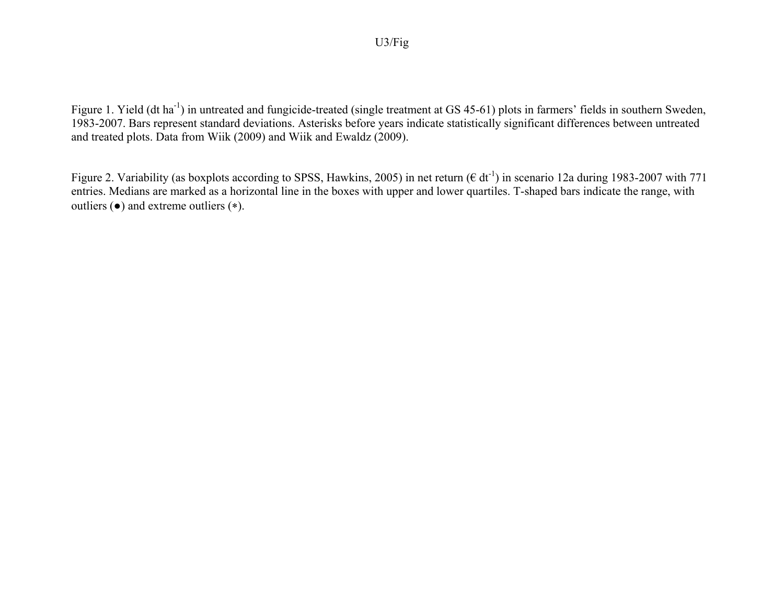Figure 1. Yield (dt ha<sup>-1</sup>) in untreated and fungicide-treated (single treatment at GS 45-61) plots in farmers' fields in southern Sweden, 1983-2007. Bars represent standard deviations. Asterisks before years indicate statistically significant differences between untreated and treated plots. Data from Wiik (2009) and Wiik and Ewaldz (2009).

Figure 2. Variability (as boxplots according to SPSS, Hawkins, 2005) in net return ( $\epsilon$  dt<sup>-1</sup>) in scenario 12a during 1983-2007 with 771 entries. Medians are marked as a horizontal line in the boxes with upper and lower quartiles. T-shaped bars indicate the range, with outliers (●) and extreme outliers (∗).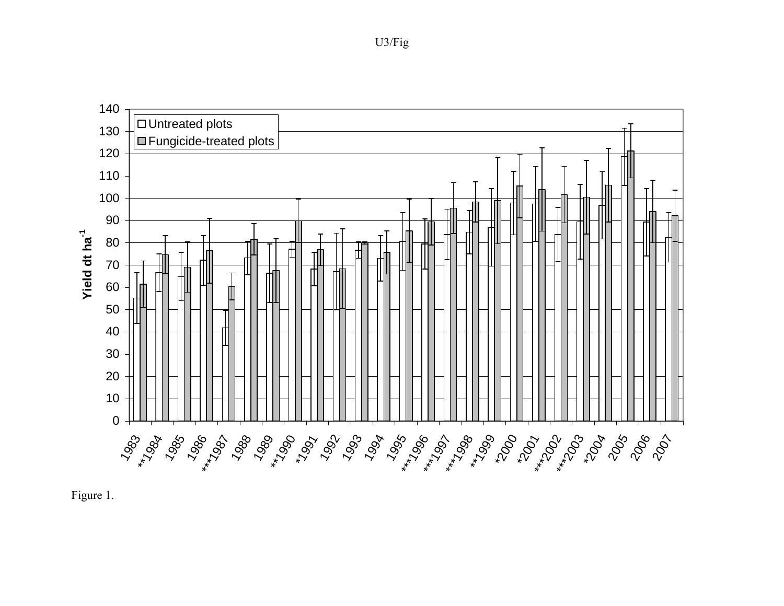# Untreated plots **E**Fungicide-treated plots Yield dt ha<sup>-1</sup> **Yield dt ha-1**  $1983 ^{+1983}$   $1983 ^{+1993}$   $1993$   $1993$   $1993$   $1993$   $1993$   $1993$   $1993$   $1993$   $1993$   $1993$   $1993$   $1993$   $1993$   $1993$   $1993$   $1993$   $1993$   $1993$   $1993$   $1993$   $1993$   $1993$   $1993$   $1993$   $1993$   $1993$   $1993$   $1$



U3/Fig